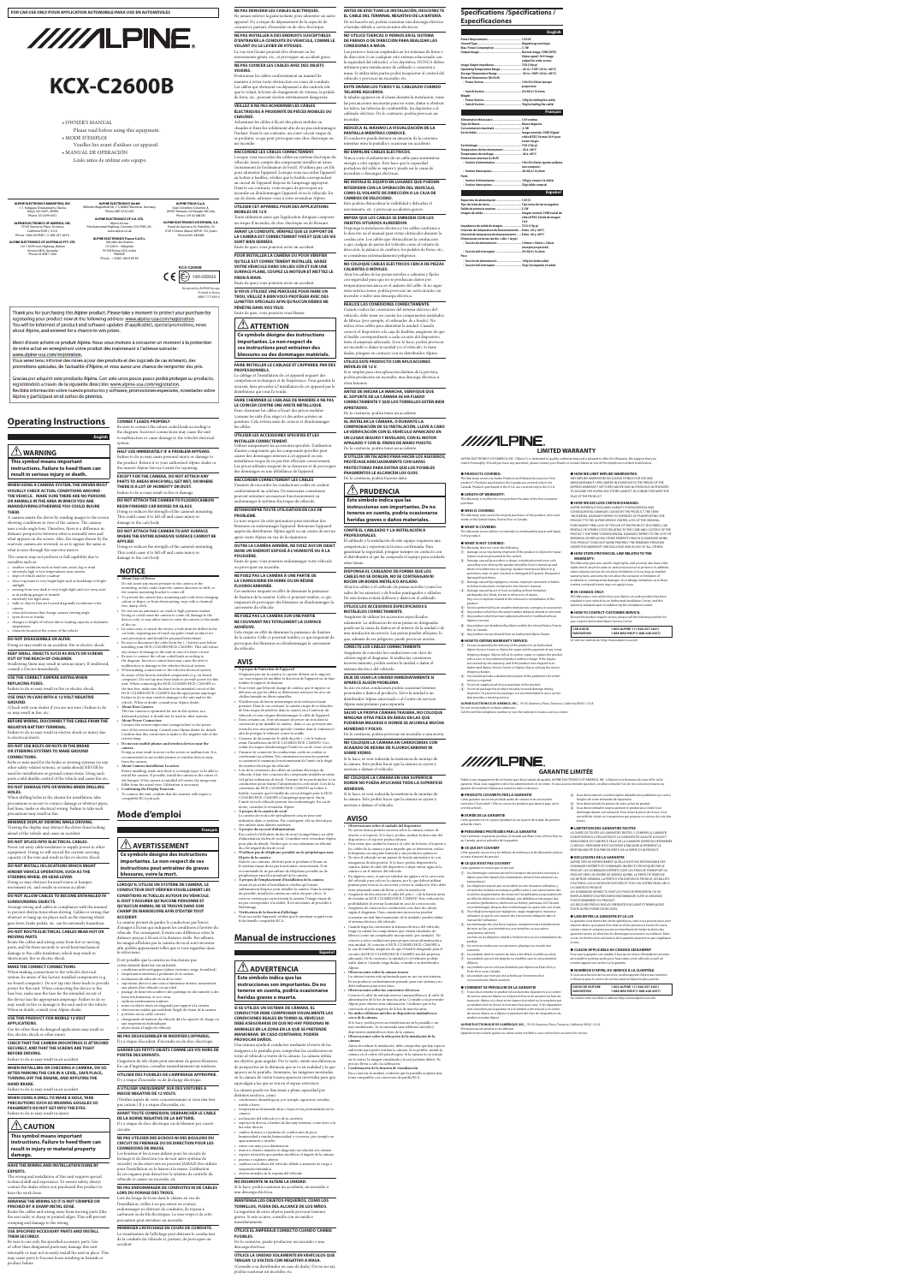# **Operating Instructions**

### **WHEN USING A CAMERA SYSTEM, THE DRIVER MUST VISUALLY CHECK ACTUAL CONDITIONS AROUND THE VEHICLE. MAKE SURE THERE ARE NO PERSONS OR ANIMALS IN THE AREA IN WHICH YOU ARE MANOEUVRING OTHERWISE YOU COULD INJURE**

• direct exposure to very bright light such as headlamp or bright sunlight • moving from very dark to very bright light and vice versa such

**THEM.** A camera assists the driver by sending images to the screen showing conditions in view of the camera. The camera uses a wide-angle lens. Therefore, there is a difference in distance perspective between what is normally seen and what appears on the screen. Also, the images shown by the rearview camera are reversed, so as to appear the same as what is seen through the rearview mirror.

• changes to height of vehicle due to loading capacity or hydraulic suspensions • obstacles located at the corner of the vehicle

### The camera may not perform to full capability due to variables such as: • weather conditions such as hard rain, snow, fog or mud

• extremely high or low temperatures near camera • slope of vehicle and/or roadway

Failure to do so may result in electric shock or injury due to electrical shorts

as in parking garages or tunnels extremely low light areas • walls or objects that are located diagonally in relation to the

camera • retracted mirrors that change camera viewing angle • open doors or trunks

### **DO NOT DISASSEMBLE OR ALTER.**

Doing so may result in an accident, fire or electric shock. **KEEP SMALL OBJECTS SUCH AS BOLTS OR SCREWS** 

### **OUT OF THE REACH OF CHILDREN.** Swallowing them may result in serious injury. If swallowed,

consult a Doctor immediately.

### **USE THE CORRECT AMPERE RATING WHEN REPLACING FUSES.**

Failure to do so may result in fire or electric shock. **USE ONLY IN CARS WITH A 12 VOLT NEGATIVE** 

**GROUND.**

### **BEFORE WIRING, DISCONNECT THE CABLE FROM THE NEGATIVE BATTERY TERMINAL.**

### **DO NOT USE BOLTS OR NUTS IN THE BRAKE OR STEERING SYSTEMS TO MAKE GROUND**

### **CONNECTIONS.** Bolts or nuts used for the brake or steering systems (or any

other safety-related system), or tanks should NEVER be used for installations or ground connections. Using such parts could disable control of the vehicle and cause fire etc.

### **DO NOT DAMAGE PIPE OR WIRING WHEN DRILLING HOLES.**

When drilling holes in the chassis for installation, take precautions so as not to contact, damage or obstruct pipes, fuel lines, tanks or electrical wiring. Failure to take such

# precautions may result in fire.

**MINIMISE DISPLAY VIEWING WHILE DRIVING.** Viewing the display may distract the driver from looking ahead of the vehicle and cause an accident.

# **DO NOT SPLICE INTO ELECTRICAL CABLES.**

Never cut away cable insulation to supply power to other equipment. Doing so will exceed the current carrying capacity of the wire and result in fire or electric shock.

**DO NOT INSTALL IN LOCATIONS WHICH MIGHT HINDER VEHICLE OPERATION, SUCH AS THE STEERING WHEEL OR GEAR LEVER.**

| English                                | Be sure to connect the colour coded leads according to<br>the diagram. Incorrect connections may cause the unit<br>to malfunction or cause damage to the vehicle's electrical<br>system. |
|----------------------------------------|------------------------------------------------------------------------------------------------------------------------------------------------------------------------------------------|
| $\sqrt{N}$ WARNING                     | HALT USE IMMEDIATELY IF A PROBLEM APPEARS.<br>Failure to do so may cause personal injury or damage to                                                                                    |
| This symbol means important            | the product. Return it to your authorized Alpine dealer or                                                                                                                               |
| instructions. Failure to heed them can | the nearest Alpine Service Center for repairing.                                                                                                                                         |
| result in serious injury or death.     | <b>EXCEPT FOR THE CAMERA, DO NOT ATTACH ANY</b>                                                                                                                                          |

### Doing so may obstruct forward vision or hamper movement etc. and results in serious accident.

### **DO NOT ALLOW CABLES TO BECOME ENTANGLED IN SURROUNDING OBJECTS.**

**NOTICE About Care of Device** 

Arrange wiring and cables in compliance with the manual to prevent obstructions when driving. Cables or wiring that obstruct or hang up on places such as the steering wheel, gear lever, brake pedals, etc. can be extremely hazardous.

### **DO NOT ROUTE ELECTRICAL CABLES NEAR HOT OR MOVING PARTS**

Route the cables and wiring away from hot or moving parts, and fix them securely to avoid heat/mechanical damage to the cable insulation, which may result in shortcircuit, fire or electric shock.

# **MAKE THE CORRECT CONNECTIONS.**

When making connections to the vehicle's electrical system, be aware of the factory installed components (e.g. on-board computer). Do not tap into these leads to provide power for this unit. When connecting the device to the fuse box, make sure the fuse for the intended circuit of the device has the appropriate amperage. Failure to do so may result in fire or damage to the unit and/or the vehicle. When in doubt, consult your Alpine dealer.

### **USE THIS PRODUCT FOR MOBILE 12 VOLT APPLICATIONS.**

Use for other than its designed application may result in fire, electric shock or other injury.

### Doing so may result in noise on the screen or malfunction. It is ended to use mobile phones or wireless devices away

### **CHECK THAT THE CAMERA MOUNTINGS IS ATTACHED SECURELY, AND THAT THE SCREWS ARE TIGHT BEFORE DRIVING.**

### Failure to do so may result in an accident.

**WHEN INSTALLING OR CHECKING A CAMERA, DO SO AFTER PARKING THE CAR IN A LEVEL, SAFE PLACE, TURNING OFF THE ENGINE, AND APPLYING THE HAND BRAKE.**

Failure to do so may result in an accident.

**AVERTISSEMENT Ce symbole désigne des instructions importantes. Le non-respect de ces** 

### **WHEN USING A DRILL TO MAKE A HOLE, TAKE PRECAUTIONS SUCH AS WEARING GOGGLES SO FRAGMENTS DO NOT GET INTO THE EYES.** Failure to do so may result in injury.

# **ZIN** CAUTION

**This symbol means important instructions. Failure to heed them can result in injury or material property damage.**

### **HAVE THE WIRING AND INSTALLATION DONE BY EXPERTS.**

le rétroviseu Il est possible que la caméra ne fonctionne pas

correctement dans les cas suivants: ogiques (1 • températures extrêmes à proximité de la caméra • inclinaison du véhicule et/ou de la route • exposition directe à une source lumineuse intense, notamment aux phares d'un véhicule ou au soleil • passage de lieux très sombres (des parkings ou des tunnels) à des lieux très lumineux, et vice versa • endroits extrêmement sombres • murs ou objets situés en diagonale par rapport à la caméra • rétroviseurs repliés qui modifient l'angle de vision de la caméra • portières et/ou coffre ouverts • changement de hauteur du véhicule dû à la capacité de charge ou aux suspensions hydrauliqu

**/! PRUDENCIA** 

(Check with your dealer if you are not sure.) Failure to do so may result in fire, etc. • **About Rear Camera**

The wiring and installation of this unit requires special technical skill and experience. To ensure safety, always contact the dealer where you purchased this product to have the work done.

### **ARRANGE THE WIRING SO IT IS NOT CRIMPED OR PINCHED BY A SHARP METAL EDGE.**

Route the cables and wiring away from moving parts (like the seat rails) or sharp or pointed edges. This will prevent crimping and damage to the wiring.

### **USE SPECIFIED ACCESSORY PARTS AND INSTALL THEM SECURELY.**

**CONNECT LEADS PROPERLY**

**PARTS TO AREAS WHICH WILL GET WET, OR WHERE** 

Printed in Kore 68M17171K46-0

Thank you for purchasing this Alpine product. Please take a moment to protect your purchase by registering your product now at the following address: www.alpine-usa.com/registration. You will be informed of product and software updates (if applicable), special promotions, news about Alpine, and entered for a chance to win prizes.

Merci d'avoir acheté ce produit Alpine. Nous vous invitons à consacrer un moment à la protection de votre achat en enregistrant votre produit dès maintenant à l'adresse suivante : www.alpine-usa.com/registration.

Vous serez tenu informé des mises à jour des produits et des logiciels (le cas échéant), des promotions spéciales, de l'actualité d'Alpine, et vous aurez une chance de remporter des prix.

Gracias por adquirir este producto Alpine. Con solo unos pocos pasos podrá proteger su producto, registrándolo a través de la siguiente dirección: www.alpine-usa.com/registration. Recibirá información sobre nuevos productos y software, promociones especiales, novedades sobre Alpine y participará en el sorteo de premios.

> **THERE IS A LOT OF HUMIDITY OR DUST.** Failure to do so may result in fire or damage. **DO NOT ATTACH THE CAMERA TO FLUOROCARBON**

**APPLIED.**

Doing so reduces the strength of the camera's mounting. This could cause it to fall off and cause injury or

damage to the car's body.

Do not assert any excess pressure to the camera or the mounting, as this could cause the camera direction to shift, or

the camera mounting bracket to come off.

• To prevent the camera lens, mounting and cords from changing colour or shape, or from deteriorating, wipe with a chemical-

free, damp cloth.

• Do not use an automatic car wash or high-pressure washer. Doing so could cause the camera to come off, damage to the device cord, or may allow water to enter the camera or the inside

of the car.

• In some cases, to attach the device, a hole must be drilled in the car body, requiring use of touch-up paint (retail product) for rust-prevention, and should be prepared beforehand. Be sure to disconnect the cable from the  $(-)$  battery post before installing your HCE-C2100RD/HCE-C2600FD. This will reduce any chance of damage to the unit in case of a short-circuit. • Be sure to connect the colour coded leads according to

• **About Power Connection**

Connect the reverse input wire (orange/white) to the power wire of the reverse lamp. Consult your Alpine dealer for details. Confirm that this connection is made to the negative side of the

reverse lamp. • **Do not use mobile phones and wireless devices near the camera.**

### from the camera. • **About Camera Installation Location**

Be sure to use only the specified accessory parts. Use of other than designated parts may damage this unit internally or may not securely install the unit in place. This may cause parts to become loose resulting in hazards or product failure. accident.

Before installing, make sure there is a enough space to be able to install the camera. If possible, install the camera in the center of the bumper. If the camera is installed off-center, the image may differ from the actual view. Calibration is necessary.

• **Confirming the Display Function** To connect the unit, confirm that the monitor will require a compatible RCA pin jack.

# **Mode d'emploi**

**Français**

### **instructions peut entraîner de graves blessures, voire la mort.**

**LORSQU'IL UTILISE UN SYSTÈME DE CAMÉRA, LE CONDUCTEUR DOIT VÉRIFIER VISUELLEMENT LES CONDITIONS ACTUELLES AUTOUR DU VÉHICULE. IL DOIT S'ASSURER QU'AUCUNE PERSONNE ET QU'AUCUN ANIMAL NE SE TROUVE DANS SON CHAMP DE MANOEUVRE AFIN D'ÉVITER TOUT** 

**ACCIDENT.** La caméra permet de guider le conducteur par l'envoi d'images à l'écran qui indiquent les conditions à l'arrière du véhicule. Par conséquent, il existe une différence entre la distance perçue à l'écran et la distance réelle. Par ailleurs, les images affichées par la caméra de recul sont inversées afin qu'elles apparaissent telles que si vous regardiez dans

• objets situés à l'angle du véhicule **NE PAS DESASSEMBLER NI MODIFIER L'APPAREIL.**

### Il y a risque d'accident, d'incendie ou de choc électrique. **GARDER LES PETITS OBJETS COMME LES VIS HORS DE PORTEE DES ENFANTS.**

L'ingestion de tels objets peut entraîner de graves blessures. En cas d'ingestion, consulter immédiatement un médecin.

**UTILISER DES FUSIBLES DE L'AMPERAGE APPROPRIE.** Il y a risque d'incendie ou de décharge électrique.

**A UTILISER UNIQUEMENT SUR DES VOITURES A MASSE NEGATIVE DE 12 VOLTS.** (Vérifiez auprès de votre concessionnaire si vous n'en êtes

### **RESIN FINISHED CAR BODIES OR GLASS.** Doing so reduces the strength of the camera's mounting. This could cause it to fall off and cause injury or damage to the car's body. endommager le système électrique du véhicule. **INTERROMPRE TOUTE UTILISATION EN CAS DE PROBLEME.**

### pas certain.) Il y a risque d'incendie, etc. **AVANT TOUTE CONNEXION, DEBRANCHER LE CABLE**

**DE LA BORNE NEGATIVE DE LA BATTERIE.** Il y a risque de choc électrique ou de blessure par courtscircuits.

**DO NOT ATTACH THE CAMERA TO ANY SURFACE WHERE THE ENTIRE ADHESIVE SURFACE CANNOT BE**  Le non-respect de cette précaution peut entraîner des blessures ou endommager l'appareil. Retourner l'appareil auprès du distributeur Alpine agréé ou un centre de service après-vente Alpine en vue de la réparation.

### **NE PAS UTILISER DES ECROUS NI DES BOULONS DU CIRCUIT DE FREINAGE OU DE DIRECTION POUR LES CONNEXIONS DE MASSE.**

Les boulons et les écrous utilisés pour les circuits de freinage et de direction (ou de tout autre système de sécurité) ou les réservoirs ne peuvent JAMAIS être utilisés pour l'installation ou la liaison à la masse. L'utilisation de ces organes peut désactiver le système de contrôle du véhicule et causer un incendie, etc.

### **NE PAS ENDOMMAGER DE CONDUITES NI DE CABLES LORS DU FORAGE DES TROUS.**

Lors du forage de trous dans le châssis en vue de l'installation, veiller à ne pas entrer en contact, endommager ni obstruer de conduites, de tuyaux à carburant ou de fils électriques. Le non-respect de cette précaution peut entraîner un incendie.

### **MINIMISER L'AFFICHAGE EN COURS DE CONDUITE.**

La visualisation de l'affichage peut distraire le conducteur de la conduite du véhicule et, partant, de provoquer un

the diagram. Incorrect connections may cause the unit to malfunction or damage to the vehicles electrical system. When making connections to the vehicles electrical system, be aware of the factory installed components (e.g. on-board computer). Do not tap into these leads to provide power for this unit. When connecting the HCE-C2100RD/HCE-C2600FD to the fuse box, make sure the fuse for the intended circuit of the HCE-C2100RD/HCE-C2600FD has the appropriate amperage. Failure to do so may result in damage to the unit and/or the vehicle. When in doubt, consult your Alpine dealer. The rear camera is optimized for use in this system. as a dedicated product, it should not be used in other systems. • **À propos de l'entretien de l'appareil** N'appuyez pas sur la caméra, le capteur d'objets ou le support, car vous risquez de modifier la direction de l'appareil ou de faire tomber le support de fixation. • Pour éviter que l'objectif change de couleur, que le support se déforme ou que les câbles se détériorent, nettoyez-les avec un chiffon humide en fibres naturelles. • N'utilisez pas de laveur automatique ni de nettoyeur haute pression. Dans le cas contraire, la caméra risque de se détacher, de l'eau risque de pénétrer dans la caméra ou à l'intérieur du véhicule, et vous risquez d'endommager le câble de l'appareil.

**VOLANT OU LE LEVIER DE VITESSES.**  La vue vers l'avant pourrait être obstruée ou les mouvements gênés, etc., et provoquer un accident grave. **NE PAS COINCER LES CABLES AVEC DES OBJETS** 

**VOISINS.** 

Positionner les câbles conformément au manuel de manière à éviter toute obstruction en cours de conduite. Les câbles qui obstruent ou dépassent à des endroits tels que le volant, le levier de changement de vitesses, la pédale de frein, etc., peuvent s'avérer extrêmement dangereux. **VEILLEZ À NE PAS ACHEMINER LES CÂBLES** 

**CHAUDES.**

Acheminez les câbles à l'écart des pièces mobiles ou chaudes et fixez-les solidement afin de ne pas endommager l'isolant. Dans le cas contraire, un court-circuit risque de se produire, ce qui peut provoquer une choc électrique ou

un incendie.

**RACCORDEZ LES CÂBLES CORRECTEMENT.**

Lorsque vous raccordez des câbles au système électrique du véhicule, tenez compte des composants installés en usine (notamment de l'ordinateur de bord). N'utilisez pas ces fils pour alimenter l'appareil. Lorsque vous raccordez l'appareil

au circuit de l'appareil dispose de l'ampérage approprié. Dans le cas contraire, vous risquez de provoquer un

cas de doute, adressez-vous à votre revendeur Alpine. **UTILISER CET APPAREIL POUR DES APPLICATIONS** 

**MOBILES DE 12 V.**

Toute utilisation autre que l'application désignée comporte un risque d'incendie, de choc électrique ou de blessure. **AVANT LA CONDUITE, VÉRIFIEZ QUE LE SUPPORT DE LA CAMÉRA EST CORRECTEMENT FIXÉ ET QUE LES VIS** 

**SONT BIEN SERRÉES.**

Faute de quoi, vous pourriez avoir un accident.

**POUR INSTALLER LA CAMÉRA OU POUR VÉRIFIER QU'ELLE EST CORRECTEMENT INSTALLÉE, GAREZ VOTRE VÉHICULE DANS UN LIEU SÛR ET SUR UNE SURFACE PLANE, COUPEZ LE MOTEUR ET METTEZ LE** 

**FREIN À MAIN.**

Faute de quoi, vous pourriez avoir un accident. **SI VOUS UTILISEZ UNE PERCEUSE POUR FAIRE UN TROU, VEILLEZ À BIEN VOUS PROTÉGER AVEC DES LUNETTES SPÉCIALES AFIN QU'AUCUN DÉBRIS NE** 

**PÉNÈTRE DANS VOS YEUX.**

Faute de quoi, vous pourriez vous blesser. **Ce symbole désigne des instructions importantes. Le non-respect de ces instructions peut entraîner des blessures ou des dommages matériels.**

**PROFESSIONNELS.**

Le câblage et l'installation de cet appareil requiert des

distributeur qui vous l'a vendu.

**FAIRE CHEMINER LE CABLAGE DE MANIERE A NE PAS LE COINCER CONTRE UNE ARETE METALLIQUE.** Faire cheminer les câbles à l'écart des pièces mobiles

### (comme les rails d'un siège) et des arêtes acérées ou pointues. Cela évitera ainsi de coincer et d'endommager **UTILISER LES ACCESSOIRES SPECIFIES ET LES**

les câbles.

**INSTALLER CORRECTEMENT.**

 $\frac{1}{2}$  **ATTENTION** 

d'autres composants que les composants spécifiés peut causer des dommages internes à cet appareil ou son installation risque de ne pas être effectuée correctement.

> Canada. Products purchased in the U.S.A. are covered only in the U.S.A. ● **LENGTH OF WARRANTY:** This Warranty is in effect for one year from the date of the first consume

● **WHO IS COVERED:** This Warranty only covers the original purchaser of the product, who must

des dommages ou une défaillance de l'appareil. **RACCORDER CORRECTEMENT LES CÂBLES**

> This Warranty covers defects in materials or workmanship (parts and labor) in the product.

conformément au schéma. De mauvaises connexions peuvent entraîner un mauvais fonctionnement ou

ducteurs codés en c

**OUTRE LA CAMÉRA ARRIÈRE, NE FIXEZ AUCUN OBJET DANS UN ENDROIT EXPOSÉ À L'HUMIDITÉ OU À LA POUSSIÈRE.** Faute de quoi, vous pourriez endommager votre véhicule

> Any product which has the serial number defaced, altered or removed.  $\overline{O}$  Any product which has been adjusted, altered or modified without Alpine's consent.

(8) Any product not distributed by Alpine within the United States, Puerto Rico or Canada. **9** Any product not purchased from an Authorized Alpine Dealer.

### ou provoquer un incendie. **NE FIXEZ PAS LA CAMÉRA À UNE PARTIE DE LA CARROSSERIE EN VERRE OU EN RÉSINE**

**FLUOROCARBONÉE.** Ces matières risquent en effet de diminuer la puissance de fixation de la caméra. Celle-ci pourrait tomber, ce qui risquerait de provoquer des blessures ou d'endommager la carrosserie du véhicule.

> (2) You should provide a detailed description of the problem(s) for which service is required.

### **NE FIXEZ PAS LA CAMÉRA SUR UNE PARTIE NE COUVRANT PAS TOTALEMENT LA SURFACE ADHÉSIVE.**

**LIMITED WARRANTY** //////LPINE

ALPINE ELECTRONICS OF AMERICA, INC. ("Alpine"), is dedicated to quality craftsmanship and is pleased to offer this Warranty. We suggest that you ead it thoroughly. Should you have any questions, please contact your Dealer or contact Alpine at one of the telephone numbers li

Cela risque en effet de diminuer la puissance de fixation de la caméra. Celle-ci pourrait tomber, ce qui risquerait de provoquer des blessures ou d'endommager la carrosserie du véhicule.

ANY IMPLIED WARRANTIES INCLUDING FITNESS FOR USE AND MERCHANTABILITY ARE LIMITED IN DURATION TO THE PERIOD

### **AVIS**

**NE PAS DENUDER LES CABLES ELECTRIQUES.**  Ne jamais enlever la gaine isolante pour alimenter un autre appareil. Il y a risque de dépassement de la capacité de courant et, partant, d'incendie ou de choc électrique. **ANTES DE EFECTUAR LA INSTALACIÓN, DESCONECTE EL CABLE DEL TERMINAL NEGATIVO DE LA BATERÍA.** De no hacerlo así, podría ocasionar una descarga eléctrica o heridas debido a cortocircuitos eléctricos.

### **NE PAS INSTALLER A DES ENDROITS SUSCEPTIBLES D'ENTRAVER LA CONDUITE DU VEHICULE, COMME LE NO UTILICE TUERCAS O PERNOS EN EL SISTEMA DE FRENOS O DE DIRECCIÓN PARA REALIZAR LAS CONEXIONES A MASA.**

This Warranty is not valid unless your Alpine car audio product has been installed in your vehicle by an Authorized Installation Center, and this rranty stamped upon installation by the installation center.

• Dans certains cas, il est nécessaire de percer un trou dans la carrosserie pour installer la caméra ; dans ce cas, prévoyez une retouche avec une peinture spéciale (vendue dans le commerce)

afin de protéger le véhicule contre la rouille. • S'assurer de déconnecter le câble du pôle (–) de la batterie avant l'installation du HCE-C2100RD/HCE-C2600FD. Ceci reduit les risques d'endommager l'unité en cas de court-circuit. • S'assurer de connecter les conducteurs codés en couleur se

conformant au schéma. Des connexions incorrectes peuvent occasionner le manuvais fonctionnement de l'unité ou le dégât

• Lors de la connexion des câbles au système électrique du

**ÉLECTRIQUES À PROXIMITÉ DE PIÈCES MOBILES OU**  Si taladra agujeros en el chasis durante la instalación, tome las precauciones necesarias para no rozar, dañar u obstruir los tubos, las tuberías de combustible, los depósitos o el cableado eléctrico. De lo contrario, podría provocar un incendio.

du système électrique du véhicule.

• **À propos de la caméra de recul**

véhicule, il faut être conscient des composants installés en usine (tel qu'un ordinateur de bord). S'assurer de ne pas brancher à ces conducteurs pour fournir l'alimentation à cette unité. Lors de la connexion du HCE-C2100RD/HCE-C2600FD au boîtier à fusible, s'assurer que le fusible du circuit désigné pour le HCE-C2100RD/HCE-C2600FD a l'ampérage approprié. Sinon, I'unité et/ou le véhicule peuvent être endommagés. En cas de

au boîtier à fusibles, vérifiez que le fusible correspondant incendie ou d'endommager l'appareil et/ou le véhicule. En **NO INSTALE EL EQUIPO EN LUGARES QUE PUEDAN INTERFERIR CON LA OPERACIÓN DEL VEHÍCULO, COMO EL VOLANTE DE DIRECCIÓN O LA CAJA DE CAMBIOS DE VELOCIDAD.** 

doute, consulter le revendeur Alpine.

 $\widehat{A}$  Les dommages dus à la force majeure, notamment aux tremblements de terre, au feu, aux inondations, aux tempêtes ou aux autres

La caméra de recul a été spécialement conçue pour une

 $\widehat{B}$  Les produits dont le numéro de série a été effacé, modifié ou retiré; G Les produits qui ont été adaptés ou modifiés sans le consentement

être utilisée dans d'autres systèmes. • **À propos du raccord d'alimentation**

du côté négatif du feu de recul.

**fil près de la caméra.**

Dans le cas contraire, du bruit peut se produire à l'écran ou le système risque de ne pas fonctionner correctement. Il est recommandé de ne pas utiliser de téléphone portable ou de

périphérique sans fil à proximité de la caméra. • **À propos de l'emplacement d'installation de la camera** Avant de procéder à l'installation, vérifiez qu'il existe suffisamment d'espace pour installer la caméra. Dans la mesure du possible, installez la caméra au centre du pare-chocs. Si vous ne centrez pas correctement la caméra, l'image risque de ne pas correspondre à la réalité. Il est nécessaire de procéder à

l'étalonnage.

• **Vérification de la fonction d'affichage**

Pour raccorder l'appareil, vérifiez que le moniteur requiert une

fiche femelle compatible RCA.

**FAIRE INSTALLER LE CABLAGE ET L'APPAREIL PAR DES UTILICE ESTE PRODUCTO CON APLICACIONES** 

**Manual de instrucciones**

**Español**

 **ADVERTENCIA Este símbolo indica que las** 

**instrucciones son importantes. De no** 

compétences techniques et de l'expérience. Pour garantir la sécurité, faire procéder à l'installation de cet appareil par le podría producirse un incendio, una descarga eléctrica u otras lesiones.

### Si vous avez besoin de nos services, veuillez appeler Alpine aux numéro ci-dessous pour le centre de service autorisé Alpine le plus proche.

Utiliser uniquement les accessoires spécifiés. L'utilisation Les pièces utilisées risquent de se desserrer et de provoquer **PROTÉJASE ADECUADAMENTE CON GAFAS PROTECTORAS PARA EVITAR QUE LOS POSIBLES FRAGMENTOS LE ALCANCEN LOS OJOS.**

> nvoyez aucun produit à ces adi Appelez notre numéro gratuit ou visitez notre site Web si vous recherchez un centre de service.

en la cámara de visión trasera aparecen invertidas para que equivalgan a las que se ven en el espejo retrovisor.

La cámara puede no funcionar a plena capacidad por distintos motivos, como: • condiciones climatológicas, por ejemplo, aguaceros, nevadas,

niebla o barro • temperaturas demasiado altas o bajas en las proximidades de la cámara

### • inclinación del vehículo y/o de la carretera

• exposición directa a fuentes de luz muy intensas, como faros o la luz solar directa • cambio drástico y repentino de condiciones de poca

- luminosidad a mucha luminosidad, y viceversa, por ejemplo en aparcamientos o túneles
- zonas con muy poca iluminación
- muros y objetos situados en diagonal con relación a la cámara
- espejos retráctiles que puedan modificar el ángulo de la cámara
- puertas o maletero abierto
- cambios en la altura del vehículo debido a aumento de carga o suspensión hidráulica
- objetos situados en la esquina del vehículo

### **NO DESMONTE NI ALTERE LA UNIDAD.**

Si lo hace, podrá ocasionar un accidente, un incendio o una descarga eléctrica.

### **MANTENGA LOS OBJETOS PEQUEÑOS, COMO LOS**

**TORNILLOS, FUERA DEL ALCANCE DE LOS NIÑOS.**

La ingestión de estos objetos puede provocar lesiones graves. Si esto ocurre, consulte con un médico inmediatamente.

### **UTILICE EL AMPERAJE CORRECTO CUANDO CAMBIE FUSIBLES.**

De lo contrario, puede producirse un incendio o una descarga eléctrica.

### **UTILICE LA UNIDAD SOLAMENTE EN VEHÍCULOS QUE**

# **TENGAN 12 VOLTIOS CON NEGATIVO A MASA.**

(Consulte a su distribuidor en caso de duda.) De no ser así, podría ocasionar un incendio, etc.

() Les produits qui ne sont pas distribués par Alpine aux Etats-Unis, Porto Rico ou au Canada; I Les produits qui n'ont pas été achetés par l'entremise d'un oncessionnaire Alpine autorisé

Los pernos o tuercas empleados en los sistemas de freno o de dirección (o en cualquier otro sistema relacionado con la seguridad del vehículo), o los depósitos, NUNCA deben utilizarse para instalaciones de cableado o conexión a masa. Si utiliza tales partes podrá incapacitar el control del vehículo y provocar un incendio, etc.

### **EVITE DAÑAR LOS TUBOS Y EL CABLEADO CUANDO TALADRE AGUJEROS.**

**REDUZCA AL MÁXIMO LA VISUALIZACIÓN DE LA PANTALLA MIENTRAS CONDUCE.** El conductor puede distraer su atención de la carretera

mientras mira la pantalla y ocasionar un accidente.

### **NO EMPALME CABLES ELÉCTRICOS.**

Nunca corte el aislamiento de un cable para suministrar energía a otro equipo. Esto hace que la capacidad portadora del cable se supere y puede ser la causa de incendios o descargas eléctricas.

utilisation dans ce système. Par conséquent, elle ne devrait pas Raccordez le fil d'entrée du feu de recul (orange/blanc) au câble d'alimentation du feu de recul. Consultez votre revendeur Alpine pour plus de détails. Vérifiez que ce raccordement est effectué • **N'utilisez pas de téléphone portable ou de périphérique sans**  • **Observaciones sobre el cuidado del dispositivo** No ejerza nunca presión excesiva sobre la cámara, sensor de objetos o el soporte. Si lo hace, podría cambiar la dirección del positivo o el soporte podría soltarse • Para evitar que cambie la forma y el color de la lente, el soporte o los cables de la cámara y para impedir que se deterioren, realice la limpieza con un paño húmedo y sin productos químicos.

Esto podría obstaculizar la visibilidad y dificultar el movimiento, etc. y provocar accidentes graves.

**IMPIDA QUE LOS CABLES SE ENREDEN CON LOS OBJETOS SITUADOS ALREDEDOR.**  Disponga la instalación eléctrica y los cables conforme a

lo descrito en el manual para evitar obstáculos durante la conducción. Los cables que obstaculizan la conducción o que cuelgan de partes del vehículo como el volante de dirección, la palanca de cambios, los pedales de freno, etc., se consideran extremadamente peligrosos.

### **NO COLOQUE CABLES ELÉCTRICOS CERCA DE PIEZAS CALIENTES O MÓVILES.**

Aleje los cables de las piezas móviles o calientes y fíjelos con seguridad para que no se produzcan daños por temperatura/mecánica en el aislante del cable. Si no sigue estas instrucciones, podría provocar un cortocircuito, un incendio o sufrir una descarga eléctrica.

### **REALICE LAS CONEXIONES CORRECTAMENTE.**

Cuando realice las conexiones del sistema eléctrico del vehículo, debe tener en cuenta los componentes instalados de fábrica (por ejemplo, el ordenador de a bordo). No utilice estos cables para alimentar la unidad. Cuando conecte el dispositivo a la caja de fusibles, asegúrese de que el fusible correspondiente a cada circuito del dispositivo tiene el amperaje adecuado. Si no lo hace, podría provocar un incendio o dañar la unidad y/o el vehículo. Si tiene dudas, póngase en contacto con su distribuidor Alpine.

# **MÓVILES DE 12 V.**

Si se emplea para otra aplicación distinta de la prevista,

**ANTES DE INICIAR LA MARCHA, VERIFIQUE QUE EL SOPORTE DE LA CÁMARA SE HA FIJADO CORRECTAMENTE Y QUE LOS TORNILLOS ESTÁN BIEN APRETADOS.**

**tenerse en cuenta, podría ocasionarse heridas graves o muerte. SI SE UTILIZA UN SISTEMA DE CÁMARA, EL CONDUCTOR DEBE COMPROBAR VISUALMENTE LAS CONDICIONES REALES EN TORNO AL VEHÍCULO. DEBE ASEGURARSE DE QUE NO HAY PERSONAS NI ANIMALES EN LA ZONA EN LA QUE SE PRETENDE MANIOBRAR. EN CASO CONTRARIO, PODRÍA PROVOCAR DAÑOS.** Una cámara ayuda al conductor mediante el envío de las debe utilizarse para otros fines. • **Observaciones sobre las conexiones eléctricas** Conecte el cable de entrada inverso (naranja/blanco) al cable de alimentación de la luz de marcha atrás. Consulte a su proveedor Alpine para obtener más información. Confirme que se ha conectado al polo negativo de la luz de marcha atrás. • **No utilice teléfonos móviles ni dispositivos inalámbricos cerca de la cámara.** Si lo hace, podría provocar interferencias en la pantalla o un mal rendimiento. Se recomienda usar teléfonos móviles y dispositivos inalámbricos lejos de la cámara. • **Observaciones sobre la ubicación de la instalación de la cámara**

De lo contrario, podría tener un accidente. **AL INSTALAR LA CÁMARA, O DURANTE LA COMPROBACIÓN DE SU INSTALACIÓN, LLEVE A CABO** 

# **LA VERIFICACIÓN CON EL VEHÍCULO APARCADO EN**

**UN LUGAR SEGURO Y NIVELADO, CON EL MOTOR APAGADO Y CON EL FRENO DE MANO PUESTO.** De lo contrario, podría tener un accidente.

imágenes a la pantalla para comprobar las condiciones en torno al vehículo a través de la cámara. La cámara utiliza un objetivo gran angular. Por lo tanto, existe una diferencia de perspectiva en la distancia que se ve en realidad y la que aparece en la pantalla. Asimismo, las imágenes mostradas Antes de realizar la instalación, debe comprobar que hay espacio suficiente para poder instalar la cámara. Si es posible, instale la cámara en el centro del parachoques. Si la cámara no se instala en el centro, la imagen visualizada y la real podrían diferir. Es preciso llevar a cabo la calibración. • **Confirmación de la función de visualización**

**SI UTILIZA UN TALADRO PARA HACER LOS AGUJEROS,**  De lo contrario, podría hacerse daño.

**Este símbolo indica que las instrucciones son importantes. De no tenerse en cuenta, podría ocasionarse heridas graves o daños materiales.**

### **CONFÍE EL CABLEADO Y LA INSTALACIÓN A PROFESIONALES.**

El cableado y la instalación de este equipo requieren una competencia y experiencia técnica confirmada. Para garantizar la seguridad, póngase siempre en contacto con el distribuidor al que ha comprado el equipo para confiarle estas tareas.

### **DISPONGA EL CABLEADO DE FORMA QUE LOS CABLES NO SE DOBLEN, NO SE CONTRAIGAN NI ROCEN UN BORDE METÁLICO AFILADO.**

Aleje los cables y el cableado de piezas móviles (como los raíles de los asientos) o de bordes puntiagudos o afilados. De esta forma evitará dobleces y daños en el cableado.

### **UTILICE LOS ACCESORIOS ESPECIFICADOS E INSTÁLELOS CORRECTAMENTE.**

Asegúrese de utilizar los accesorios especificados solamente. La utilización de otras piezas no designadas puede ser la causa de daños en el interior de la unidad o de una instalación incorrecta. Las piezas pueden aflojarse, lo que, además de ser peligroso, puede provocar averías.

### **CONECTE LOS CABLES CORRECTAMENTE**

Asegúrese de conectar los conductores con clave de colores según el diagrama. Si realiza las conexiones incorrectamente, podría averiar la unidad o dañar el sistema eléctrico del vehículo.

### **DEJE DE USAR LA UNIDAD INMEDIATAMENTE SI APARECE ALGÚN PROBLEMA.**

Su uso en estas condiciones podría ocasionar lesiones personales o daños al producto. Lleve la unidad a un distribuidor Alpine autorizado o al Centro de servicio Alpine más próximo para repararla.

### **SALVO LA PROPIA CÁMARA TRASERA, NO COLOQUE NINGUNA OTRA PIEZA EN ÁREAS EN LAS QUE PUDIERAN MOJARSE O DONDE SE ACUMULE MUCHA HUMEDAD Y POLVO.**

De lo contrario, podría provocar un incendio o una avería. **NO COLOQUE LA CÁMARA EN CARROCERÍAS CON** 

### **ACABADO DE RESINA DE FLUOROCARBONO NI SOBRE VIDRIO.**

Si lo hace, se verá reducida la resistencia de montaje de la cámara. Esto podría hacer que la cámara se cayese y averiase o dañase el vehículo.

**NO COLOQUE LA CÁMARA EN UNA SUPERFICIE DONDE NO PUEDA APLICARSE TODA LA SUPERFICIE ADHESIVA.**

Si lo hace, se verá reducida la resistencia de montaje de la cámara. Esto podría hacer que la cámara se cayese y averiase o dañase el vehículo.

### **AVISO**

• No lave el vehículo en un puesto de lavado automático ni con mangueras de alta presión. Si lo hace, podría desprender la cámara, dañar el cable del dispositivo o dejar entrar agua en la cámara o en el interior del vehículo.

• En algunos casos, es preciso taladrar un agujero en la carrocería del vehículo para colocar la cámara, por lo que deberá utilizar pintura para retocar la carrocería y evitar la oxidación. Esto debe estar preparado antes de llevar a cabo la instalación.



• Asegúrese de desconectar el cable del polo (–) de la batería antes de instalar su HCE-C2100RD/HCE-C2600FD. Esto reducirá las posibilidades de averiar la unidad en caso de cortocircuito. • Asegúrese de conectar los conductores con clave de colores según el diagrama. Unas conexiones incorrectas pueden ocasionar un mal funcionamiento de la unidad o pueden dañar

• Cuando haga las conexiones al sistema eléctrico del vehículo, el sistema eléctrico del vehículo. tenga en cuenta los componentes que vienen instalados de fábrica (como un computador incorporado, por ejemplo). No conecte a estos conductores para proporcionar alimentación a esta unidad. Al conectar el HCE-C2100RD/HCE-C2600FD a la caja de fusibles, asegúrese de que el fusible designado para el circuito del HCE-C2100RD/HCE-C2600FD sea del amperaje adecuado. De lo contrario, la unidad y/o el vehículo podrán sufrir daños. Cuando tenga dudas, consulte a su distribuidor

Alpine.

• **Observaciones sobre la cámara trasera**

La cámara trasera está optimizada para su uso en este sistema. Es un producto exclusivamente pensado para este sistema y no

Para conectar la unidad, confirme que la pantalla aceptará una toma compatible con conectores de patilla RCA.

● **PRODUCTS COVERED:** This Warranty covers Car Audio Products and Related Accessories ("the

product"). Products purchased in the Canada are covered only in the

# purchase.

### reside in the United States, Puerto Rico or Canada. ● **WHAT IS COVERED:**

● **WHAT IS NOT COVERED:** his Warranty does not cover the following A Damage occurring during shipment of the product to Alpine for repair (claims must be presented to the carrier).

2 Damage caused by accident or abuse, including burned voice coils caused by over-driving the speaker (amplifier level is turned up and driven into distortion or clipping). Speaker mechanical failure (e.g. punctures, tears or rips). Cracked or damaged LCD panels. Dropped or amaged hard drives

C Damage caused by negligence, misuse, improper operation or failure to follow instructions contained in the Owner's manual. 4 Damage caused by act of God, including without limitation, earthquake, fire, flood, storms or other acts of nature.

Any cost or expense related to the removal or reinstallation of the product. E Service performed by an unauthorized person, company or association.

### ● **HOW TO OBTAIN WARRANTY SERVICE:**

● **HOW WE LIMIT IMPLIED WARRANTIES:**

EXPRESS WARRANTY SET FORTH ABOVE AND NO PERSON IS AUTHORIZED TO ASSUME FOR ALPINE ANY OTHER LIABILITY IN CONNECTION WITH THE

SALE OF THE PRODUCT.

● **HOW WE EXCLUDE CERTAIN DAMAGES:** ALPINE EXPRESSLY DISCLAIMS LIABILITY FOR INCIDENTAL AND CONSEQUENTIAL DAMAGES CAUSED BY THE PRODUCT. THE TERM "INCIDENTAL DAMAGES" REFERS TO EXPENSES OF TRANSPORTING THE PRODUCT TO THE ALPINE SERVICE CENTER, LOSS OF THE ORIGINAL PURCHASER'S TIME, LOSS OF THE USE OF THE PRODUCT, BUS FARES, CAR RENTALS OR OTHERS COSTS RELATING TO THE CARE AND CUSTODY OF THE PRODUCT. THE TERM "CONSEQUENTIAL DAMAGES" REFERS TO THE COST OF REPAIRING OR REPLACING OTHER PROPERTY WHICH IS DAMAGED WHEN THIS PRODUCT DOES NOT WORK PROPERLY. THE REMEDIES PROVIDED UNDER THIS WARRANTY ARE EXCLUSIVE AND IN LIEU OF ALL OTHERS. ● **HOW STATE/PROVINCIAL LAW RELATES TO THE** 

- C You must supply proof of your purchase of the product.  $\widehat{A}$  You must package the product securely to avoid damage during
- shipment. To prevent lost packages it is recommended to use a carrier that provides a tracking service. **ALPINE ELECTRONICS OF AMERICA, INC.,** 19145 Gramercy Place, Torrance, California 90501, U.S.A.

Call the toll free telephone number or visit the website to locate a service center

//////LPINE

Cette garantie est en vigueur pendant un an à partir de la date du premie

**WARRANTY:**

This Warranty gives you specific legal rights, and you may also have other rights which vary from state to state and province to province. In addition, some states/provinces do not allow limitations on how long an implied warranty lasts, and some do not allow the exclusion or limitation of incidental or consequential damages. Accordingly, limitations as to these

matters contained herein may not apply to you.

● **IN CANADA ONLY:**

● **HOW TO CONTACT CUSTOMER SERVICE:**

Should the product require service, please call the following number for

your nearest Authorized Alpine Service Center.

**CAR AUDIO NAVIGATION**

**1-800-ALPINE-1 (1-800-257-4631) 1-888-NAV-HELP (1-888-628-4357)**



Or visit our website at; http://www.alpine-usa.com

Do not send products to these addresses.

 $\hat{J}$  You are responsible for delivery of the product to an Authorized Alpine Service Center or Alpine for repair and for payment of any initial shipping charges. Alpine will, at its option, repair or replace the production with a new or reconditioned product without charge. If the repairs are covered by the warranty, and if the product was shipped to an Authorized Alpine Service Center or Alpine, Alpine will pay the return shipping charges

● **PRODUITS COUVERTS PAR LA GARANTIE** Cette garantie couvre les produits audio de voiture et les accessoir connexes ("le produit"). Elle ne couvre les produits que dans le pays où ils

ont été achetés.

● **DURÉE DE LA GARANTIE**

achat du client.

● **PERSONNES PROTÉGÉES PAR LA GARANTIE**

Seul l'acheteur original du produit, s'il résisde aux États-Unis, à Porto Rico ou

Cette garantie couvre tous les défauts de matériaux et de fabrication (pièces

au Canada, peut se prévaloir de la garantie.

● **CE QUI EST COUVERT**

et main d'œuvre) du produit. ● **CE QUI N'EST PAS COUVERT** Cette garantie ne couvre pas ce qui suit:

A Les dommages survenus durant le transport des produits renvoyés à Alpine pour être réparés (les réclamations doivent être adressées au

transporteur);

B Les dégâts provoqués par un accident ou une mauvaise utilisation, y compris des bobines acoustiques grillées suite à une surexcitation des enceintes (augmentation du niveau de l'amplificateur jusqu'à atteindre un effet de distorsion ou d'écrêtage), une défaillance mécanique des enceintes (perforations, déchirures ou fentes), panneaux LCD fissurés ou endommagés, disques durs endommagés ou ayant subi une chute. C Tout dégât provoqué par négligence, usage inapproprié, mauvaise utilisation ou par le non-respect des instructions indiquées dans le

manuel de l'utilisateur.

cataclysmes naturels;

Les frais ou les dépenses relatifs à l'enlèvement ou à la réinstallation du

produit;

E Les services rendus par une personne, physique ou morale non

autorisée;

d'Alpine;

### ● **COMMENT SE PRÉVALOIR DE LA GARANTIE**

A Il vous faut remettre le produit nécessitant des réparations à un centre de service autorisé Alpine ou à Alpine même et en assumer les frais de transport. Alpine a le choix entre réparer le produit ou le remplacer par un produit neuf ou révisé, le tout sans frais pour vous. Si les réparation sont couvertes par la garantie et si le produit a été envoyé à un centre de service Alpine ou à Alpine, le paiement des frais de réexpédition du produit incombe Alpine.

**GARANTIE LIMITÉE** Fidèle à son engagement de ne fournir que des produits de qualité, ALPINE ELECTRONICS OF AMERICA, INC. («Alpine») est heureuse de vous offrir cette garantie. Nous vous suggérons de le lire attentivement et en entier. Si vous avez la moindre question, veuillez contacter l'un de nos concessionnaires ou

appeler directement Alpine aux numéros listés ci-dessous.

B Vous devez donner une description détaillée des problèmes qui sont à

l'origine de votre demande de réparation. Vous devez joindre la preuve de votre achat du produit. Vous devez emballer soigneusement le produit pour éviter tout dommage durant son transport. Pour éviter la perte de l'envoi, il est conseillé de choisir un transporteur qui propose un service de suivi des

envois.

● **LIMITATION DES GARANTIES TACITES**

LA DURÉE DE TOUTES LES GARANTIES TACITES, Y COMPRIS LA GARANTIE D'ADAPTATION À L'UTILISATION ET LA GARANTIE DE QUALITÉ LOYALE ET MARCHANDE, EST LIMITÉE À CELLE DE LA GARANTIE EXPRESSE DÉTERMINÉE CI-DESSUS. PERSONNE N'EST AUTORISÉ À ENGAGER AUTREMENT LA RESPONSABILITÉ D'ALPINE EN VERTU DE LA VENTE D'UN PRODUIT.

● **EXCLUSIONS DE LA GARANTIE**

ALPINE STIPULE EXPRESSÉMENT QU'ELLE N'EST PAS RESPONSABLE DES DOMMAGES-INTÉRÊTS ET DOMMAGES INDIRECTS PROVOQUÉS PAR LE PRODUIT. LES DOMMAGES-INTÉRÊTS SONT LES FRAIS DE TRANSPORT DU PRODUIT VERS UN CENTRE DE SERVICE ALPINE, LA PERTE DE TEMPS DE L'ACHETEUR ORIGINAL, LA PERTE D'UTILISATION DU PRODUIT, LES BILLETS D'AUTOBUS, LA LOCATION DE VOITURES ET TOUS LES AUTRES FRAIS LIÉS À

LA GARDE DU PRODUIT.

LES DOMMAGES INDIRECTS SONT LES FRAIS DE RÉPARATION OU DE REMPLACEMENT D'AUTRES BIENS ENDOMMAGÉS SUITE AU MAUVAIS

FONCTIONNEMENT DU PRODUIT.

LES RECOURS PRÉVUS PAR LES PRÉSENTES EXCLUENT ET REMPLACENT

TOUTE AUTRE FORME DE RECOURS. ● **LIEN ENTRE LA GARANTIE ET LA LOI**

La garantie vous donne des droits spécifiques, mais vous pouvez aussi jouir d'autres droits, qui varient d'un état ou d'une province à l'autre. En outre, certains états et certaines provinces interdisent de limiter la durée des garanties tacites ou d'exclure les dommages accessoires ou indirects. Dans ce cas, les limites et les exclusions de la garantie peuvent ne pas s'appliquer

à vous.

● **CLAUSE APPLICABLE AU CANADA SEULEMENT**  Pour que la garantie soit valable, il faut qu'un centre d'installation autorisé ait installé le système audio pour l'auto dans votre véhicule et qu'il ait

ensuite apposé son cachet sur la garantie.

● **NUMÉROS D'APPEL DU SERVICE À LA CLIENTÈLE**

**AUDIO DE VOITURE NAVIGATION 1-800-ALPINE-1 (1-800-257-4631) 1-888-NAV-HELP (1-888-628-4357)**

Ou visitez notre site Web à l'adresse http://www.alpine-usa.com

### **ALPINE ÉLECTRONIQUE DE L'AMÉRIQUE, INC.,** 19145 Gramercy Place, Torrance, California 90501, U.S.A.

# **KCX-C2600B**

• OWNER'S MANUAL Please read before using this equipment. • MODE D'EMPLOI Veuillez lire avant d'utiliser cet appareil. • MANUAL DE OPERACIÓN Léalo antes de utilizar este equipo.

# //////LPINE

**Specifications /Spécifications / Especificaciones**

**English Power Requirements ............................................ 12V DC Ground Type .......................................................... Negative ground type Max. Power Consumption .................................... 3.1W Output Image ........................................................ Normal image, CVBS (NTSC Video signal) 16:9 Image output for wide-screen Image Output impedance .................................... 75Ω (1Vp-p) Operating Temperature Range ............................ -22 to +176F (-30 to +80°C) Storage Temperature Range ................................ -40 to +185F (-40 to +85°C) External Dimensions (W×H×D) • Power Section ................................................. 100×50×25mm (except projection) • Switch Section ................................................ 29×38.5×13.6mm Weight • Power Section ................................................. 109g (including the cable) • Switch Section ................................................ 50g (including the cable) Français Alimentation Nécessaire ...................................... 12V continu Type de Masse ....................................................... Masse dégative**

**Consommation maximale .................................... 3,1W Sortie Vidéo ........................................................... Image normale, CVBS (Signal vidéo NTSC) Format 16:9 pour écrans larges Sortie Image .......................................................... 75Ω (1Vp-p) Température de fonctionnement ........................ -30 à +80°C Température de stockage .................................... -40 à +85°C Dimensions externes (L×H×P) • Section d'alimentation ................................... 100×50×25mm (partie saillante non comprise) • Section Interrupteur....................................... 29×38,5×13,6mm Poids • Section d'alimentation ................................... 109g (y compris le câble) • Section Interrupteur....................................... 50g (câble compris)**

### **Español**

**Requisitos de alimentación ................................. 12V CC Tipo de toma de tierra .......................................... Tipo toma de tierra negativa Salida de potencia maxima ..................................3,1W Imagen de salida ................................................... Imagen normal, CVBS (señal de**  vídeo NTSC) Salida de imager **16:9 Impedancia de salida de imagen ......................... 75 Ω (1 Vp-p) Intervalo de temperatura de funcionamiento ... Entre –30 y +80°C Intervalo de temperatura de almacenamiento ...... Entre –40 y +85°C Dimensiones externas (ancho × alto × largo) • Sección de alimentación ................................ 100mm × 50mm × 25mm (excepto proyección) • Sección del interruptor .................................. 29×38,5×13,6mm Peso • Sección de alimentación ................................ 109g (incluido cable)**

**• Sección del interruptor .................................. 50 gr (incluyendo el cable)**

| ALPINE ELECTRONICS MARKETING, INC.        | <b>ALPINE ELECTRONICS GmbH</b>                     | ALPINE ITALIA S.p.A.                  |
|-------------------------------------------|----------------------------------------------------|---------------------------------------|
| 1-7, Yukigaya-Otsukamachi, Ota-ku,        | Wilhelm-Wagenfeld-Str. 1-3, 80807 München, Germany | Viale Cristoforo Colombo 8.           |
| Tokyo 145-0067, JAPAN                     | Phone 089-32 42 640                                | 20090 Trezzano sul Naviglio MI, Italy |
| Phone: 03-5499-4531                       |                                                    | Phone +39 02 484781                   |
|                                           | ALPINE ELECTRONICS OF U.K. LTD.                    |                                       |
| ALPINE ELECTRONICS OF AMERICA, INC.       | Alpine House                                       | ALPINE ELECTRONICS DE ESPAÑA, S.A.    |
| 19145 Gramercy Place, Torrance,           | Fletchamstead Highway, Coventry CV4 9TW, U.K.      | Portal de Gamarra 36, Pabellón, 32    |
| California 90501, U.S.A.                  | www.alpine.co.uk                                   | 01013 Vitoria (Alava)-APDO 133, Spain |
| Phone 1-800-ALPINE-1 (1-800-257-4631)     |                                                    | Phone 945-283588                      |
|                                           | <b>ALPINE ELECTRONICS France S.A.R.L.</b>          |                                       |
| ALPINE ELECTRONICS OF AUSTRALIA PTY. LTD. | 184 allée des Erables                              |                                       |
| 161-165 Princes Highway, Hallam           | CS 52016 - Villepinte                              |                                       |
| Victoria 3803, Australia                  | 95 945 Roissy CDG cedex                            |                                       |
| Phone 03-8787-1200                        | <b>FRANCE</b>                                      |                                       |
|                                           | Phone: +33(0)148638989                             |                                       |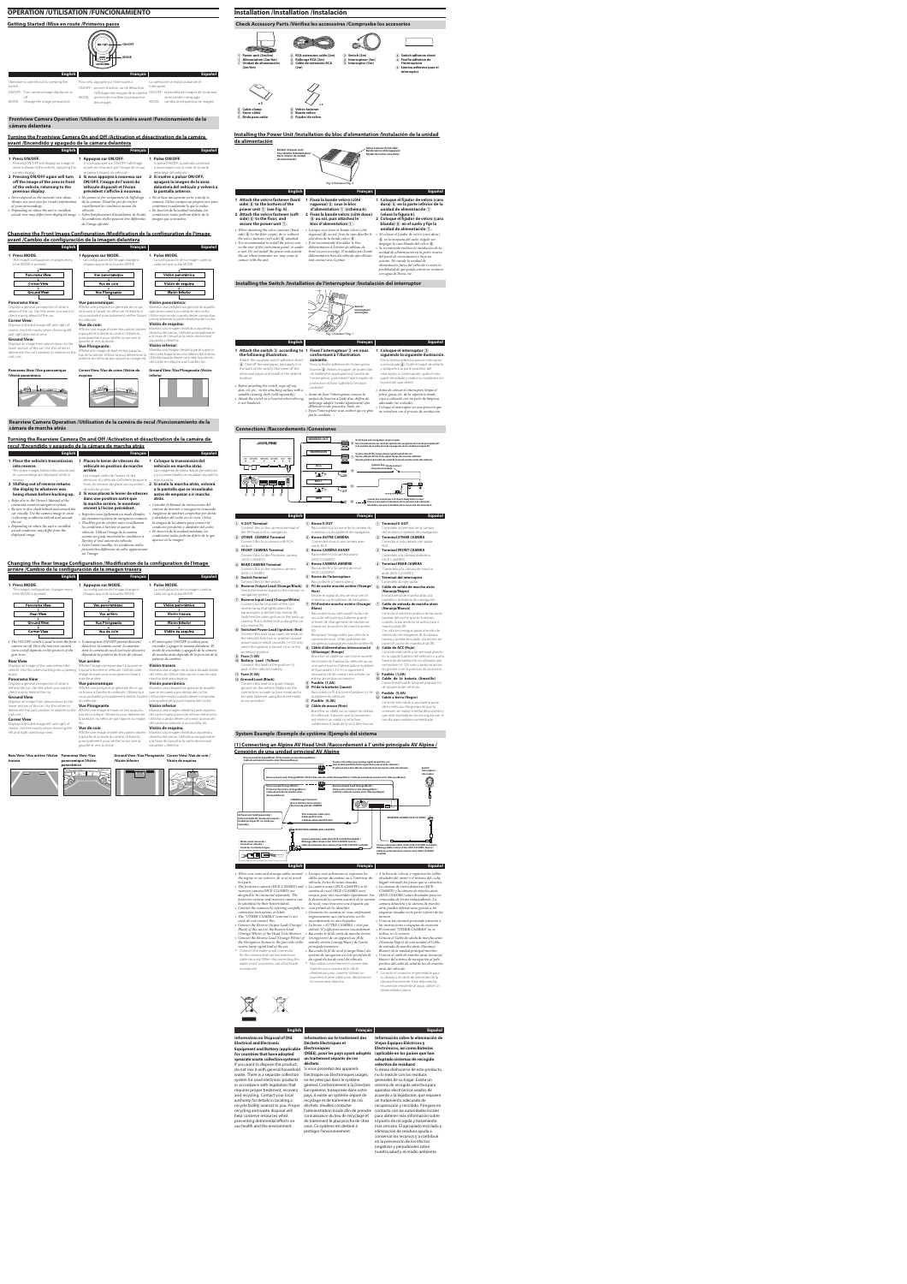### **OPERATION /UTILISATION /FUNCIONAMIENTO**

### **Getting Started /Mise en route /Primeros pasos**



Operation is carried out by pressing the switch. ON/OFF: Turn camera image display on or off MODE: Change the image perspective Pour cela, appuyez sur l'interrupteur. ON/OFF: permet d'activer ou de désactiver l'affichage des images de la caméra ON/OFF: la pantalla de imagen de la cámara MODE: permet de modifier la perspective des images La operación se realiza pulsando el interruptor. se enciende o se apaga MODE: cambia la perspectiva de imagen

**Español**

### **Frontview Camera Operation /Utilisation de la caméra avant /Funcionamiento de la cámara delantera**

### **Turning the Frontview Camera On and Off /Activation et désactivation de la caméra avant /Encendido y apagado de la cámara delantera**

| <b>English</b>                                                                                                                                                                                                       | Français                                                                                                                                                                                                                                                                    | Español                                                                                                                                                                                                                                                |
|----------------------------------------------------------------------------------------------------------------------------------------------------------------------------------------------------------------------|-----------------------------------------------------------------------------------------------------------------------------------------------------------------------------------------------------------------------------------------------------------------------------|--------------------------------------------------------------------------------------------------------------------------------------------------------------------------------------------------------------------------------------------------------|
| 1 Press ON/OFF.<br>Pressing ON/OFF will display an image of<br>what is ahead of the vehicle, replacing the<br>current display.                                                                                       | 1 Appuyez sur ON/OFF.<br>Si vous appuyez sur ON/OFF, l'affichage<br>actuel est remplacé par l'image de ce qui<br>se passe à l'avant du véhicule.                                                                                                                            | 1 Pulse ON/OFF.<br>Si pulsa ON/OFF, la pantalla cambiará<br>a una imagen con la vista de la parte<br>delantera del vehículo.                                                                                                                           |
| 2 Pressing ON/OFF again will turn<br>off the image of the area in front<br>of the vehicle, returning to the<br>previous display.                                                                                     | 2 Si vous appuyez à nouveau sur<br>ON/OFF, l'image de l'avant du<br>véhicule disparaît et l'écran<br>précédent s'affiche à nouveau.                                                                                                                                         | 2 Si vuelve a pulsar ON/OFF,<br>apagará la imagen de la zona<br>delantera del vehículo y volverá a<br>la pantalla anterior.                                                                                                                            |
| • Never depend on the camera's view alone.<br>Always use your eyes for visual confirmation<br>of your surroundings.<br>• Depending on where the unit is installed,<br>actual view may differ from displayed image. • | • Ne jamais se fier uniquement de l'affichage<br>de la caméra. N'oubliez pas de vérifier<br>visuellement les conditions autour du<br>véhicule.<br>Selon l'emplacement d'installation de l'unité,<br>les conditions réelles peuvent être différentes<br>de l'image affichée. | • No se base únicamente en la vista de la<br>cámara. Utilice siempre sus propios ojos para<br>confirmar visualmente lo que le rodea.<br>· En función de la unidad instalada, las<br>condiciones reales podrían diferir de la<br>imagen que se muestra. |

### **Changing the Front Image Configuration /Modification de la configuration de l'image avant /Cambio de configuración de la imagen delantera**

| time MODE is pressed.                                                                                                      | chaque appui de la touche MODE.                                                                                                                                              | cada vez que pulsa MODE.                                                                                                                                                                  |
|----------------------------------------------------------------------------------------------------------------------------|------------------------------------------------------------------------------------------------------------------------------------------------------------------------------|-------------------------------------------------------------------------------------------------------------------------------------------------------------------------------------------|
| Panorama View                                                                                                              | Vue panoramique                                                                                                                                                              | Visión panorámica                                                                                                                                                                         |
| <b>Corner View</b>                                                                                                         | Vue de coin                                                                                                                                                                  | Visión de esquina                                                                                                                                                                         |
| <b>Ground View</b>                                                                                                         | <b>Vue Plongeante</b>                                                                                                                                                        | Visión inferior                                                                                                                                                                           |
| <b>Panorama View:</b>                                                                                                      | <b>Vue panoramique:</b>                                                                                                                                                      | Visión panorámica:                                                                                                                                                                        |
| Displays a general perspective of what is<br>ahead of the car. Use this when you want to<br>check mainly ahead of the car. | Affiche une perspective générale de ce qui<br>se trouve à l'avant du véhicule. Utilisez-la si<br>vous souhaitez principalement vérifier l'avant                              | Muestra una perspectiva general de aquello<br>que se encuentra por delante del coche.<br>Utilice este modo cuando desee comprobar                                                         |
| <b>Corner View:</b><br>Displays a divided image left and right of<br>centre. Use this mainly when checking left            | du véhicule.<br>Vue de coin:<br>Affiche une image divisée des parties situées<br>à gauche et à droite du centre. Utilisez-la                                                 | principalmente la parte delantera del coche.<br>Visión de esquina:<br>Muestra una imagen dividida a izquierda y<br>derecha del centro. Utilícela principalmente                           |
| and right directional view.<br><b>Ground View:</b><br>Displays an image from above down to the                             | principalement pour vérifier la vue vers la<br>gauche et vers la droite.                                                                                                     | a la hora de consultar la visión direccional<br>izquierda y derecha.<br>Visión inferior:                                                                                                  |
| lower section of the car. Use this when to<br>determine the car's position in relation to the<br>curb, etc.                | <b>Vue Plongeante:</b><br>Affiche une image de haut en bas jusqu'au<br>bas de la voiture. Utilisez-la pour déterminer la<br>position du véhicule par rapport au virage, etc. | Muestra una imagen desde la parte superior<br>del coche hasta la sección inferior del mismo.<br>Utilícela cuando desee concretar la posición<br>del coche en relación a un bordillo, etc. |
| Panorama View /Vue panoramique<br>/Visión panorámica                                                                       | Corner View /Vue de coine /Visión de<br>esquina                                                                                                                              | Ground View /Vue Plongeante /Visión<br>inferior                                                                                                                                           |
|                                                                                                                            |                                                                                                                                                                              |                                                                                                                                                                                           |
|                                                                                                                            |                                                                                                                                                                              |                                                                                                                                                                                           |
|                                                                                                                            |                                                                                                                                                                              |                                                                                                                                                                                           |
|                                                                                                                            |                                                                                                                                                                              |                                                                                                                                                                                           |
|                                                                                                                            |                                                                                                                                                                              |                                                                                                                                                                                           |
| Rearview Camera Operation /Utilisation de la caméra de recul /Funcionamiento de la                                         |                                                                                                                                                                              |                                                                                                                                                                                           |

**English**

**into reverse.**

The video images behind the vehicle and its surroundings are displayed while in

E **Cable clamp** E **Serre-câble**  $\widetilde{6}$  Brida para cable  $\widetilde{6}$  Fijador de velcr

**x 3**  $\times$  **x** 2 F **Velcro fastener** F **Bande velcro**

**Français**

**véhicule en position de marche** 

**arrière.**

Les images vidéo de l'arrière et des

**1 Place the vehicle's transmission 1 Placez le levier de vitesses du 1 Coloque la transmisión del** 

**Español**

**vehículo en marcha atrás.** Las imágenes de vídeo detrás del vehículo y sus proximidades se visualizan durante la

| reverse.<br>2 Shifting out of reverse returns<br>the display to whatever was<br>being shown before backing up.<br>• Refer also to the Owner's Manual of the<br>connected monitor/navigation system.<br>• Be sure to also check behind and around the<br>car visually. Use the camera image to assist<br>in showing conditions behind and around<br>the car.<br>• Depending on where the unit is installed,<br>actual conditions may differ from the<br>displayed image. | alentours du véhicule s'affichent lorsque le<br>levier de vitesses est placé sur la position<br>de marche arrière.<br>2 Si vous placez le levier de vitesses<br>dans une position autre que<br>la marche arrière, le moniteur<br>revient à l'écran précédent.<br>• Reportez-vous également au mode d'emploi<br>du moniteur/système de navigation connecté.<br>• N'oubliez pas de vérifier aussi visuellement<br>les conditions à l'arrière et autour du<br>véhicule. Utilisez l'image de la caméra<br>comme un guide montrant les conditions à<br>l'arrière et tout autour du véhicule.<br>· Selon l'unité installée, les conditions réelles<br>peuvent être différentes de celles apparaissant<br>sur l'image. | marcha atrás.<br>2 Si anula la marcha atrás, volverá<br>a la pantalla que se visualizaba<br>antes de empezar a ir marcha<br>atrás.<br>• Consulte el Manual de instrucciones del<br>sistema de monitor o navegación conectado.<br>• Asegúrese de también comprobar por detrás<br>y alrededor del coche con la vista. Utilice<br>la imagen de la cámara para conocer la<br>condición por detrás y alrededor del coche.<br>· En función de la unidad instalada, las<br>condiciones reales podrían diferir de lo que<br>aparece en la imagen. |
|-------------------------------------------------------------------------------------------------------------------------------------------------------------------------------------------------------------------------------------------------------------------------------------------------------------------------------------------------------------------------------------------------------------------------------------------------------------------------|-----------------------------------------------------------------------------------------------------------------------------------------------------------------------------------------------------------------------------------------------------------------------------------------------------------------------------------------------------------------------------------------------------------------------------------------------------------------------------------------------------------------------------------------------------------------------------------------------------------------------------------------------------------------------------------------------------------------|-------------------------------------------------------------------------------------------------------------------------------------------------------------------------------------------------------------------------------------------------------------------------------------------------------------------------------------------------------------------------------------------------------------------------------------------------------------------------------------------------------------------------------------------|
| arrière /Cambio de la configuración de la imagen trasera                                                                                                                                                                                                                                                                                                                                                                                                                | Changing the Rear Image Configuration /Modification de la configuration de l'image                                                                                                                                                                                                                                                                                                                                                                                                                                                                                                                                                                                                                              |                                                                                                                                                                                                                                                                                                                                                                                                                                                                                                                                           |
| <b>English</b>                                                                                                                                                                                                                                                                                                                                                                                                                                                          | <b>Français</b>                                                                                                                                                                                                                                                                                                                                                                                                                                                                                                                                                                                                                                                                                                 | <b>Español</b>                                                                                                                                                                                                                                                                                                                                                                                                                                                                                                                            |
| 1 Press MODE.<br>The image configuration changes every<br>time MODE is pressed.<br>Panorama View                                                                                                                                                                                                                                                                                                                                                                        | 1 Appuyez sur MODE.<br>La configuration de l'image change à<br>chaque appui de la touche MODE.<br>Vue panoramique                                                                                                                                                                                                                                                                                                                                                                                                                                                                                                                                                                                               | 1 Pulse MODE.<br>La configuración de la imagen cambia<br>cada vez que pulsa MODE.<br>Visión panorámica                                                                                                                                                                                                                                                                                                                                                                                                                                    |
| <b>Rear View</b>                                                                                                                                                                                                                                                                                                                                                                                                                                                        | Vue arrière                                                                                                                                                                                                                                                                                                                                                                                                                                                                                                                                                                                                                                                                                                     | Visión trasera                                                                                                                                                                                                                                                                                                                                                                                                                                                                                                                            |
|                                                                                                                                                                                                                                                                                                                                                                                                                                                                         |                                                                                                                                                                                                                                                                                                                                                                                                                                                                                                                                                                                                                                                                                                                 |                                                                                                                                                                                                                                                                                                                                                                                                                                                                                                                                           |
| <b>Ground View</b>                                                                                                                                                                                                                                                                                                                                                                                                                                                      | <b>Vue Plongeante</b>                                                                                                                                                                                                                                                                                                                                                                                                                                                                                                                                                                                                                                                                                           | Visión inferior                                                                                                                                                                                                                                                                                                                                                                                                                                                                                                                           |
|                                                                                                                                                                                                                                                                                                                                                                                                                                                                         |                                                                                                                                                                                                                                                                                                                                                                                                                                                                                                                                                                                                                                                                                                                 |                                                                                                                                                                                                                                                                                                                                                                                                                                                                                                                                           |
| <b>Corner View</b>                                                                                                                                                                                                                                                                                                                                                                                                                                                      | Vue de coin                                                                                                                                                                                                                                                                                                                                                                                                                                                                                                                                                                                                                                                                                                     | Visión de esquina                                                                                                                                                                                                                                                                                                                                                                                                                                                                                                                         |
| • The ON/OFF switch is used to turn the front •<br>camera on/off. How the rearview camera<br>turns on/off depends on the position of the<br>gear lever.                                                                                                                                                                                                                                                                                                                 | L'interrupteur ON/OFF permet d'activer/<br>désactiver la caméra avant. La manière<br>dont la caméra de recul s'active/se désactive<br>dépend de la position du levier de vitesses.                                                                                                                                                                                                                                                                                                                                                                                                                                                                                                                              | • El interruptor ON/OFF se utiliza para<br>encender y apagar la cámara delantera. El<br>modo de encendido y apagado de la cámara<br>de marcha atrás depende de la posición de la<br>palanca de cambios.                                                                                                                                                                                                                                                                                                                                   |
| <b>Rear View</b>                                                                                                                                                                                                                                                                                                                                                                                                                                                        | <b>Vue arrière</b>                                                                                                                                                                                                                                                                                                                                                                                                                                                                                                                                                                                                                                                                                              | Visión trasera                                                                                                                                                                                                                                                                                                                                                                                                                                                                                                                            |
| Displays an image of the area behind the<br>vehicle. Use this when backing into a parking                                                                                                                                                                                                                                                                                                                                                                               | Affiche l'image correspondant à la zone se<br>trouvant derrière le véhicule. Utilisez cette                                                                                                                                                                                                                                                                                                                                                                                                                                                                                                                                                                                                                     | Muestra una imagen de la zona situada detrás                                                                                                                                                                                                                                                                                                                                                                                                                                                                                              |
| space.                                                                                                                                                                                                                                                                                                                                                                                                                                                                  | image lorsque vous vous garez en faisant                                                                                                                                                                                                                                                                                                                                                                                                                                                                                                                                                                                                                                                                        | del vehículo. Utilice esta opción cuando vaya                                                                                                                                                                                                                                                                                                                                                                                                                                                                                             |
| <b>Panorama View</b>                                                                                                                                                                                                                                                                                                                                                                                                                                                    | marche arrière.                                                                                                                                                                                                                                                                                                                                                                                                                                                                                                                                                                                                                                                                                                 | marcha atrás para aparcar.                                                                                                                                                                                                                                                                                                                                                                                                                                                                                                                |
| Displays a general perspective of what is                                                                                                                                                                                                                                                                                                                                                                                                                               | Vue panoramique                                                                                                                                                                                                                                                                                                                                                                                                                                                                                                                                                                                                                                                                                                 | Visión panorámica                                                                                                                                                                                                                                                                                                                                                                                                                                                                                                                         |
| behind the car. Use this when you want to                                                                                                                                                                                                                                                                                                                                                                                                                               | Affiche une perspective générale de ce qui                                                                                                                                                                                                                                                                                                                                                                                                                                                                                                                                                                                                                                                                      | Muestra una perspectiva general de aquello                                                                                                                                                                                                                                                                                                                                                                                                                                                                                                |
| check mainly behind the car.                                                                                                                                                                                                                                                                                                                                                                                                                                            | se trouve à l'arrière du véhicule. Utilisez-la si                                                                                                                                                                                                                                                                                                                                                                                                                                                                                                                                                                                                                                                               | que se encuentra por detrás del coche.                                                                                                                                                                                                                                                                                                                                                                                                                                                                                                    |
| <b>Ground View</b>                                                                                                                                                                                                                                                                                                                                                                                                                                                      | vous souhaitez principalement vérifier l'arrière Utilice este modo cuando desee comprobar                                                                                                                                                                                                                                                                                                                                                                                                                                                                                                                                                                                                                       |                                                                                                                                                                                                                                                                                                                                                                                                                                                                                                                                           |
| Displays an image from above down to the                                                                                                                                                                                                                                                                                                                                                                                                                                | du véhicule.                                                                                                                                                                                                                                                                                                                                                                                                                                                                                                                                                                                                                                                                                                    | principalmente la parte trasera del coche.                                                                                                                                                                                                                                                                                                                                                                                                                                                                                                |
| lower section of the car. Use this when to                                                                                                                                                                                                                                                                                                                                                                                                                              | <b>Vue Plongeante</b>                                                                                                                                                                                                                                                                                                                                                                                                                                                                                                                                                                                                                                                                                           | Visión inferior                                                                                                                                                                                                                                                                                                                                                                                                                                                                                                                           |
| determine the car's position in relation to the                                                                                                                                                                                                                                                                                                                                                                                                                         | Affiche une image de haut en bas jusqu'au                                                                                                                                                                                                                                                                                                                                                                                                                                                                                                                                                                                                                                                                       | Muestra una imagen desde la parte superior                                                                                                                                                                                                                                                                                                                                                                                                                                                                                                |

curb, etc. **Corner View**

Displays a divided image left and right of

left and right directional view.

centre. Use this mainly when checking the **Vue de coin**

bas de la voiture. Utilisez-la pour déterminer

etc.

Affiche une image divisée des parties situées à gauche et à droite du centre. Utilisez-la

gauche et vers la droite.

J.

la position du véhicule par rapport au virage, Utilícela cuando desee concretar la posición

principalement pour vérifier la vue vers la a la hora de consultar la visión direccional

del coche hasta la sección inferior del mismo. del coche en relación a un bordillo, etc.

**Visión de esquina**

Muestra una imagen dividida a izquierda y derecha del centro. Utilícela principalmente

izquierda y derecha.

**Rear View /Vue arrière /Visión Panorama View /Vue** 

**trasera**

**panoramique /Visión** 

panorámica<br>**Aprilis de la composición de la composición de la composición de la composición de la composición de la composición**<br>Composición de la composición de la composición de la composición de la composición de la com

**Ground View /Vue Plongeante Corner View /Vue de coin /**

**/Visión inferior**

**Visión de esquina**

 $\sim$ 

ST

### **Check Accessory Parts /Vérifiez les accessoires /Compruebe los accesorios**



C **Switch (3m)**

C **Interrupteur (3m)** C **Interruptor (3m)** D **Switch adhesive sheet** D **Feuille adhésive de l'interrupteur** D **Lámina adhesiva para el** 

**interruptor**

### **Installing the Power Unit /Installation du bloc d'alimentation /Instalación de la unidad de alimentación**

•



étanche pour caméra et le câble *atrás del vehículo.*<br>d'extension pour caméra. Utilisez un \* Conecte el conector impermeable para tournevis à lame plate pour déconnecter la cámara y el cable de extensión de la le connecteur étanche. cámara firmemente. Para desconectar el conector resistente al agua, utilice un destornillador plano.

**Installing the Switch /Installation de l'interrupteur /Instalación del interruptor**

**the following illustration.** Attach the supplied switch adhesive sheet **4**). Peel off the seal paper, and apply it to the back of the switch, then peel off the other seal paper and install in the desired location. • *Before attaching the switch, wipe off any dust, oil, etc., on the attaching surface with a suitable cleaning cloth (sold separately).* • *Attach the switch in a location where driving* • *Avant de fixer l'interrupteur, essuyez la surface de fixation à l'aide d'un chiffon de is not hindered.* **suivante.** Fixez la feuille adhésive de l'interrupteur fournie 4. Retirez le papier de protection de l'adhésif et appliquez-le à l'arrière de l'interrupteur, puis retirez l'autre papier de papel de sellado y realice la instalación en protection et fixez l'adhésif à l'endroit souhaité.



**Español**

Fije la lámina adhesiva para el interruptor suministrada 4. Quite el papel de sellado y aplíquelo a la parte posterior del interruptor, a continuación, quite el otro

### *nettoyage adapté (vendu séparément) afin d'éliminer toute poussière, huile, etc.* • *Fixez l'interrupteur à un endroit qui ne gêne pas la conduite.* la posición que desee. • *Antes de colocar el interruptor, limpie el polvo, grasa, etc. de la superficie donde vaya a colocarlo con un paño de limpieza adecuado (no incluido).* • *Coloque el interruptor en una posición que no interfiera con el proceso de conducción.*

### **Connections /Raccordements /Conexiones**



### **System Example /Exemple de système /Ejemplo del sistema**

### **(1) Connecting an Alpine AV Head Unit /Raccordement à l' unité principale AV Alpine / Conexión de una unidad principal AV Alpine**



**English**

**Français**

| • When you route and arrange cables around<br>the engine or car interior, do so as to avoid<br>hot parts.<br>• The frontview camera (HCE-C2600FD) and • La caméra avant (HCE-C2600FD) et la<br>rearview camera (HCE-C2100RD) are<br>designed to be connected separately. The<br>frontview camera and rearview camera can<br>be identified by their bottom labels.<br>• Connect the cameras by referring carefully to<br>connection instructions or labels.<br>• The "OTHER CAMERA" terminal is not<br>used, do not connect this.<br>• Connect the Reverse Output Lead (Orange/<br>Black) of this unit to the Reverse Lead<br>(Orange/White) of the Head Unit/Monitor.<br>• Connect the Reverse Lead (Orange/White) of | Lorsque vous acheminez et organisez les<br>câbles autour du moteur ou à l'intérieur du<br>véhicule, évitez les zones chaudes.<br>caméra de recul (HCE-C2100RD) sont<br>conçues pour être raccordées séparément. Sur<br>le dessous de la caméra avant et de la caméra<br>de recul, vous trouverez une étiquette qui<br>vous permet de les identifier.<br>• Connectez les caméras en vous conformant<br>soigneusement aux instructions sur les<br>raccordements ou aux étiquettes.<br>• La borne « AUTRE CAMÉRA » n'est pas<br>utilisée. N'y effectuez aucun raccordement.<br>· Raccordez le fil de sortie de marche arrière<br>(orange/noir) de cet appareil au fil de | • A la hora de colocar y organizar los cables<br>alrededor del motor o el interior del coche,<br>hágalo evitando las piezas que se calienten.<br>· La cámara de visión delantera (HCE-<br>C2600FD) y la cámara de marcha atrás<br>(HCE-C2100RD) están diseñadas para ser<br>conectadas de forma independiente. La<br>cámara delantera y la cámara de marcha<br>atrás pueden diferenciarse gracias a las<br>etiquetas situadas en la parte inferior de las<br>mismas.<br>• Conecte las cámaras prestando atención a<br>las instrucciones o etiquetas de conexión.<br>• El terminal "OTHER CAMERA" no se<br>utiliza, no lo conecte.<br>• Conecte el Cable de salida de marcha atrás |
|-----------------------------------------------------------------------------------------------------------------------------------------------------------------------------------------------------------------------------------------------------------------------------------------------------------------------------------------------------------------------------------------------------------------------------------------------------------------------------------------------------------------------------------------------------------------------------------------------------------------------------------------------------------------------------------------------------------------------|-----------------------------------------------------------------------------------------------------------------------------------------------------------------------------------------------------------------------------------------------------------------------------------------------------------------------------------------------------------------------------------------------------------------------------------------------------------------------------------------------------------------------------------------------------------------------------------------------------------------------------------------------------------------------|-----------------------------------------------------------------------------------------------------------------------------------------------------------------------------------------------------------------------------------------------------------------------------------------------------------------------------------------------------------------------------------------------------------------------------------------------------------------------------------------------------------------------------------------------------------------------------------------------------------------------------------------------------------------------------------|
| the Navigation System to the plus side of the                                                                                                                                                                                                                                                                                                                                                                                                                                                                                                                                                                                                                                                                         | marche arrière (orange/blanc) de l'unité                                                                                                                                                                                                                                                                                                                                                                                                                                                                                                                                                                                                                              | (Naranja/Negro) de esta unidad al Cable                                                                                                                                                                                                                                                                                                                                                                                                                                                                                                                                                                                                                                           |
| reverse lamp signal lead of the car.                                                                                                                                                                                                                                                                                                                                                                                                                                                                                                                                                                                                                                                                                  | principale/moniteur.                                                                                                                                                                                                                                                                                                                                                                                                                                                                                                                                                                                                                                                  | de entrada de marcha atrás (Naranja/                                                                                                                                                                                                                                                                                                                                                                                                                                                                                                                                                                                                                                              |
| * Connect the water-proof connector                                                                                                                                                                                                                                                                                                                                                                                                                                                                                                                                                                                                                                                                                   | • Raccordez le fil de recul (orange/blanc) du                                                                                                                                                                                                                                                                                                                                                                                                                                                                                                                                                                                                                         | Blanco) de la unidad principal/monitor.                                                                                                                                                                                                                                                                                                                                                                                                                                                                                                                                                                                                                                           |
| for the camera and camera extension                                                                                                                                                                                                                                                                                                                                                                                                                                                                                                                                                                                                                                                                                   | système de navigation au côté positif du fil                                                                                                                                                                                                                                                                                                                                                                                                                                                                                                                                                                                                                          | • Conecte el cable de marcha atrás (naranja/                                                                                                                                                                                                                                                                                                                                                                                                                                                                                                                                                                                                                                      |
| cable securely. When disconnecting the                                                                                                                                                                                                                                                                                                                                                                                                                                                                                                                                                                                                                                                                                | du signal du feu de recul du véhicule.                                                                                                                                                                                                                                                                                                                                                                                                                                                                                                                                                                                                                                | blanco) del sistema de navegación al polo                                                                                                                                                                                                                                                                                                                                                                                                                                                                                                                                                                                                                                         |
| water-proof connector, use a flat-blade                                                                                                                                                                                                                                                                                                                                                                                                                                                                                                                                                                                                                                                                               | Raccordez correctement le connecteur                                                                                                                                                                                                                                                                                                                                                                                                                                                                                                                                                                                                                                  | positivo del cable de señal de luz de marcha                                                                                                                                                                                                                                                                                                                                                                                                                                                                                                                                                                                                                                      |
| screwdriver.                                                                                                                                                                                                                                                                                                                                                                                                                                                                                                                                                                                                                                                                                                          | étanche pour caméra et le câble                                                                                                                                                                                                                                                                                                                                                                                                                                                                                                                                                                                                                                       | atrás del vehículo.                                                                                                                                                                                                                                                                                                                                                                                                                                                                                                                                                                                                                                                               |

**Español**

| <b>Information on Disposal of Old</b><br><b>Electrical and Electronic</b><br><b>Equipment and Battery (applicable</b>                                                                              | Information sur le traitement des<br><b>Déchets Electriques et</b><br><b>Electroniques</b>                                                                                              | Información sobre la eliminación de<br>Viejos Equipos Eléctricos y<br>Electrónicos, así como Baterías                                                                               |
|----------------------------------------------------------------------------------------------------------------------------------------------------------------------------------------------------|-----------------------------------------------------------------------------------------------------------------------------------------------------------------------------------------|-------------------------------------------------------------------------------------------------------------------------------------------------------------------------------------|
| for countries that have adopted                                                                                                                                                                    | (DEEE), pour les pays ayant adoptés                                                                                                                                                     | (aplicable en los países que han                                                                                                                                                    |
| spearate waste collection systems)                                                                                                                                                                 | un traitement séparés de ces                                                                                                                                                            | adoptado sistemas de recogida                                                                                                                                                       |
| If you want to dispose this product,                                                                                                                                                               | déchets                                                                                                                                                                                 | selectiva de residuos)                                                                                                                                                              |
| do not mix it with general household<br>waste. There is a separate collection<br>system for used electronic products<br>in accordance with legislation that<br>requires proper treatment, recovery | Si vous possédez des appareils<br>Electriques ou Electroniques usagés,<br>ne les jetez pas dans le système<br>général. Conformément à la Directive<br>Européenne, transposée dans votre | Si desea deshacerse de este producto,<br>no lo mezcle con los residuos<br>generales de su hogar. Existe un<br>sistema de recogida selectiva para<br>aparatos electrónicos usados de |
| and recycling. Contact your local<br>authority for details in locating a<br>recycle facility nearest to you. Proper                                                                                | pays, il existe un système séparé de<br>recyclage et de traitement de ces<br>déchets. Veuillez contacter                                                                                | acuerdo a la legislación, que requiere<br>un tratamiento adecuado de<br>recuperación y reciclado. Póngase en                                                                        |
| recycling and waste disposal will<br>help conserve resources whist                                                                                                                                 | l'administration locale afin de prendre<br>connaissance du lieu de recyclage et                                                                                                         | contacto con las autoridades locales<br>para obtener más información sobre                                                                                                          |
| preventing detrimental effects on<br>our health and the environment.                                                                                                                               | de traitement le plus proche de chez<br>vous. Ce système est destiné à<br>protéger l'environnement.                                                                                     | el punto de recogida y tratamiento<br>más cercano. El apropiado reciclado y<br>eliminación de residuos ayuda a                                                                      |
|                                                                                                                                                                                                    |                                                                                                                                                                                         | conservar los recursos y a contribuir<br>en la prevención de los efectos                                                                                                            |
|                                                                                                                                                                                                    |                                                                                                                                                                                         | negativos y perjudiciales sobre<br>nuestra salud y el medio ambiente.                                                                                                               |

### **English Français Español**

| <b>English</b><br><b>Français</b><br>1 V.OUT Terminal<br>1 Borne V.OUT<br>1 Terminal V.OUT<br>Raccordez-la à la borne de la caméra du<br>Conéctelo al terminal de la cámara<br>Connect this to the camera terminal of<br>moniteur ou du système de navigation.<br>the AV head unit or navigation.<br>del monitor o sistema de navegación.<br>2 Borne AUTRE CAMÉRA<br>2 OTHER CAMERA Terminal<br>2 Terminal OTHER CAMERA<br>Connect this to a camera with RCA<br>Connectez-vous à une caméra avec<br>Conectar a una cámara con salida<br>sortie RCA<br><b>RCA</b><br>output<br>3 Borne CAMÉRA AVANT<br>3 FRONT CAMERA Terminal<br>3 Terminal FRONT CAMERA<br>Raccordez-le à la caméra avant<br>Conéctelo a la cámara delantera<br>Connect this to the frontview camera<br>(HCE-C2600FD)<br>(HCE-C2600FD)<br>(HCE-C2600FD)<br>4 Borne CAMÉRA ARRIÈRE<br>4) Terminal REAR CAMERA<br>4 REAR CAMERA Terminal<br>Raccordez-le à la caméra de recul<br>Connect this to the rearview camera<br>Conéctelo a la cámara de marcha<br>(HCE-C2100RD)<br>(HCE-C2100RD)<br>atrás (HCE-C2100RD)<br>(5) Borne de l'interrupteur<br>(5) Switch Terminal<br>(5) Terminal del interruptor<br>Raccordez-le à l'interrupteur<br>Connect this to the switch<br>Conéctelo al interruptor<br>6 Fil de sortie marche arrière (Orange/<br>6 Reverse Output Lead (Orange/Black)<br>6 Cable de salida de marcha atrás<br>Sends the reverse signal to the monitor or<br>(Naranja/Negro)<br>Noir)<br>navigation system.<br>Envoie le signal du feu de recul vers le<br>Envía la señal de marcha atrás a la<br>(7) Reverse Input Lead (Orange/White)<br>moniteur ou le système de navigation.<br>pantalla o al sistema de navegación.<br>Connect to the plus side of the car's<br>(7) Fil d'entrée marche arrière (Orange/<br>(7) Cable de entrada de marcha atrás<br>reverse lamp that lights when the<br>Blanc)<br>(Naranja/Blanco)<br>transmission is shifted into reverse (R).<br>Conecte el extremo positivo de las luces<br>Raccordez-le au côté positif du feu de<br>Switches the video picture to the back-up<br>recul du véhicule qui s'allume quand<br>traseras del coche que se iluminan<br>camera. This is linked with putting the car<br>le levier de changement de vitesses se<br>cuando la transmisión se activa para ir<br>into reverse (R).<br>trouve sur la position de marche arrière<br>marcha atrás (R).<br>8 Switched Power Lead (Ignition) (Red)<br>$(R)$ .<br>Con ello se consigue pasar al modo de<br>Connect this lead to an open terminal on<br>Remplace l'image vidéo par celle de la<br>obtención de imágenes de la cámara<br>the vehicle's fuse box or another unused<br>caméra de recul. Cette opération est<br>trasera y queda vinculado a la acción de<br>power source which provides (+)12V only<br>couplée au passage en marche arrière (R).<br>poner el coche en marcha atrás (R).<br>when the ignition is turned on or in the<br>8 Câble d'alimentation interconnecté<br>(8) Cable de ACC (Roio)<br>accessory position<br>Conecte este cable a un terminal abierto<br>(Allumage) (Rouge)<br>(9) Fuse (1.0A)<br>en la caja de fusibles del vehículo o a otra<br>Brancher ce câble sur une borne ouverte<br>(10) Battery Lead (Yellow)<br>fuente de alimentación no utilizada que<br>de la boîte de fusibles du véhicule ou sur<br>Connect this lead to the positive $(+)$<br>suministre (+) 12V solo cuando se activa<br>une autre source d'alimentation inutilisée<br>post of the vehicle's battery.<br>et fournissant 12 V (+) uniquement<br>la ignición o en la posición de accesorio.<br><b>9</b> Fusible (1,0A)<br>lorsque la clé de contact est activée ou<br>$(1)$ Fuse (5.0A)<br>est sur la position accessoire.<br>(10) Cable de la batería (Amarillo)<br>(12) Ground Lead (Black) | Connect to a metal part of chassis body with a screw/<br>Vissez à une partie métalique de la carroserie du véhicule/<br>Atornille a una parte metálica de la carrocería del automóvil. |
|-------------------------------------------------------------------------------------------------------------------------------------------------------------------------------------------------------------------------------------------------------------------------------------------------------------------------------------------------------------------------------------------------------------------------------------------------------------------------------------------------------------------------------------------------------------------------------------------------------------------------------------------------------------------------------------------------------------------------------------------------------------------------------------------------------------------------------------------------------------------------------------------------------------------------------------------------------------------------------------------------------------------------------------------------------------------------------------------------------------------------------------------------------------------------------------------------------------------------------------------------------------------------------------------------------------------------------------------------------------------------------------------------------------------------------------------------------------------------------------------------------------------------------------------------------------------------------------------------------------------------------------------------------------------------------------------------------------------------------------------------------------------------------------------------------------------------------------------------------------------------------------------------------------------------------------------------------------------------------------------------------------------------------------------------------------------------------------------------------------------------------------------------------------------------------------------------------------------------------------------------------------------------------------------------------------------------------------------------------------------------------------------------------------------------------------------------------------------------------------------------------------------------------------------------------------------------------------------------------------------------------------------------------------------------------------------------------------------------------------------------------------------------------------------------------------------------------------------------------------------------------------------------------------------------------------------------------------------------------------------------------------------------------------------------------------------------------------------------------------------------------------------------------------------------------------------------------------------------------------------------------------------------------------------------------------------------------------------------------------------------------------------------------------------------------------------------------------------------------------------------------------------------------------------------------------------------------------------------------------------------------------------------------------------------------------------------------------------------------------------------------------------------------------------------|----------------------------------------------------------------------------------------------------------------------------------------------------------------------------------------|
|                                                                                                                                                                                                                                                                                                                                                                                                                                                                                                                                                                                                                                                                                                                                                                                                                                                                                                                                                                                                                                                                                                                                                                                                                                                                                                                                                                                                                                                                                                                                                                                                                                                                                                                                                                                                                                                                                                                                                                                                                                                                                                                                                                                                                                                                                                                                                                                                                                                                                                                                                                                                                                                                                                                                                                                                                                                                                                                                                                                                                                                                                                                                                                                                                                                                                                                                                                                                                                                                                                                                                                                                                                                                                                                                                                                                 | <b>Español</b>                                                                                                                                                                         |
|                                                                                                                                                                                                                                                                                                                                                                                                                                                                                                                                                                                                                                                                                                                                                                                                                                                                                                                                                                                                                                                                                                                                                                                                                                                                                                                                                                                                                                                                                                                                                                                                                                                                                                                                                                                                                                                                                                                                                                                                                                                                                                                                                                                                                                                                                                                                                                                                                                                                                                                                                                                                                                                                                                                                                                                                                                                                                                                                                                                                                                                                                                                                                                                                                                                                                                                                                                                                                                                                                                                                                                                                                                                                                                                                                                                                 |                                                                                                                                                                                        |
|                                                                                                                                                                                                                                                                                                                                                                                                                                                                                                                                                                                                                                                                                                                                                                                                                                                                                                                                                                                                                                                                                                                                                                                                                                                                                                                                                                                                                                                                                                                                                                                                                                                                                                                                                                                                                                                                                                                                                                                                                                                                                                                                                                                                                                                                                                                                                                                                                                                                                                                                                                                                                                                                                                                                                                                                                                                                                                                                                                                                                                                                                                                                                                                                                                                                                                                                                                                                                                                                                                                                                                                                                                                                                                                                                                                                 |                                                                                                                                                                                        |
|                                                                                                                                                                                                                                                                                                                                                                                                                                                                                                                                                                                                                                                                                                                                                                                                                                                                                                                                                                                                                                                                                                                                                                                                                                                                                                                                                                                                                                                                                                                                                                                                                                                                                                                                                                                                                                                                                                                                                                                                                                                                                                                                                                                                                                                                                                                                                                                                                                                                                                                                                                                                                                                                                                                                                                                                                                                                                                                                                                                                                                                                                                                                                                                                                                                                                                                                                                                                                                                                                                                                                                                                                                                                                                                                                                                                 |                                                                                                                                                                                        |
|                                                                                                                                                                                                                                                                                                                                                                                                                                                                                                                                                                                                                                                                                                                                                                                                                                                                                                                                                                                                                                                                                                                                                                                                                                                                                                                                                                                                                                                                                                                                                                                                                                                                                                                                                                                                                                                                                                                                                                                                                                                                                                                                                                                                                                                                                                                                                                                                                                                                                                                                                                                                                                                                                                                                                                                                                                                                                                                                                                                                                                                                                                                                                                                                                                                                                                                                                                                                                                                                                                                                                                                                                                                                                                                                                                                                 |                                                                                                                                                                                        |
|                                                                                                                                                                                                                                                                                                                                                                                                                                                                                                                                                                                                                                                                                                                                                                                                                                                                                                                                                                                                                                                                                                                                                                                                                                                                                                                                                                                                                                                                                                                                                                                                                                                                                                                                                                                                                                                                                                                                                                                                                                                                                                                                                                                                                                                                                                                                                                                                                                                                                                                                                                                                                                                                                                                                                                                                                                                                                                                                                                                                                                                                                                                                                                                                                                                                                                                                                                                                                                                                                                                                                                                                                                                                                                                                                                                                 |                                                                                                                                                                                        |
|                                                                                                                                                                                                                                                                                                                                                                                                                                                                                                                                                                                                                                                                                                                                                                                                                                                                                                                                                                                                                                                                                                                                                                                                                                                                                                                                                                                                                                                                                                                                                                                                                                                                                                                                                                                                                                                                                                                                                                                                                                                                                                                                                                                                                                                                                                                                                                                                                                                                                                                                                                                                                                                                                                                                                                                                                                                                                                                                                                                                                                                                                                                                                                                                                                                                                                                                                                                                                                                                                                                                                                                                                                                                                                                                                                                                 |                                                                                                                                                                                        |
|                                                                                                                                                                                                                                                                                                                                                                                                                                                                                                                                                                                                                                                                                                                                                                                                                                                                                                                                                                                                                                                                                                                                                                                                                                                                                                                                                                                                                                                                                                                                                                                                                                                                                                                                                                                                                                                                                                                                                                                                                                                                                                                                                                                                                                                                                                                                                                                                                                                                                                                                                                                                                                                                                                                                                                                                                                                                                                                                                                                                                                                                                                                                                                                                                                                                                                                                                                                                                                                                                                                                                                                                                                                                                                                                                                                                 |                                                                                                                                                                                        |
|                                                                                                                                                                                                                                                                                                                                                                                                                                                                                                                                                                                                                                                                                                                                                                                                                                                                                                                                                                                                                                                                                                                                                                                                                                                                                                                                                                                                                                                                                                                                                                                                                                                                                                                                                                                                                                                                                                                                                                                                                                                                                                                                                                                                                                                                                                                                                                                                                                                                                                                                                                                                                                                                                                                                                                                                                                                                                                                                                                                                                                                                                                                                                                                                                                                                                                                                                                                                                                                                                                                                                                                                                                                                                                                                                                                                 |                                                                                                                                                                                        |
| <b>9</b> Fusible (1,0A)<br>Conecte este cable al borne positivo (+)<br>Connect this lead to a good chassis<br>(10) Fil de la batterie (Jaune)<br>de la batería del vehículo.<br>ground on the vehicle. Make sure the                                                                                                                                                                                                                                                                                                                                                                                                                                                                                                                                                                                                                                                                                                                                                                                                                                                                                                                                                                                                                                                                                                                                                                                                                                                                                                                                                                                                                                                                                                                                                                                                                                                                                                                                                                                                                                                                                                                                                                                                                                                                                                                                                                                                                                                                                                                                                                                                                                                                                                                                                                                                                                                                                                                                                                                                                                                                                                                                                                                                                                                                                                                                                                                                                                                                                                                                                                                                                                                                                                                                                                            |                                                                                                                                                                                        |
| connection is made to bare metal and is<br>Raccordez ce fil à la borne positive (+) de<br>(1) Fusible (5,0A)<br>la batterie du véhicule.<br>securely fastened using the sheet metal<br>(12) Cable a tierra (Negro)<br>(1) Fusible (5,0A)<br>screw provided.<br>Conecte este cable a una buena parte<br>(12) Câble de masse (Noir)<br>de su vehículo. Asegúrese de que la<br>Brancher ce câble sur la masse du châssis<br>conexión se realice a metal descubierto y<br>du véhicule. S'assurer que la connexion<br>que esté sujetada en forma segura con el<br>est reliée à un métal nu et la fixer<br>tornillo para metales suministrado.                                                                                                                                                                                                                                                                                                                                                                                                                                                                                                                                                                                                                                                                                                                                                                                                                                                                                                                                                                                                                                                                                                                                                                                                                                                                                                                                                                                                                                                                                                                                                                                                                                                                                                                                                                                                                                                                                                                                                                                                                                                                                                                                                                                                                                                                                                                                                                                                                                                                                                                                                                                                                                                                                                                                                                                                                                                                                                                                                                                                                                                                                                                                                        |                                                                                                                                                                                        |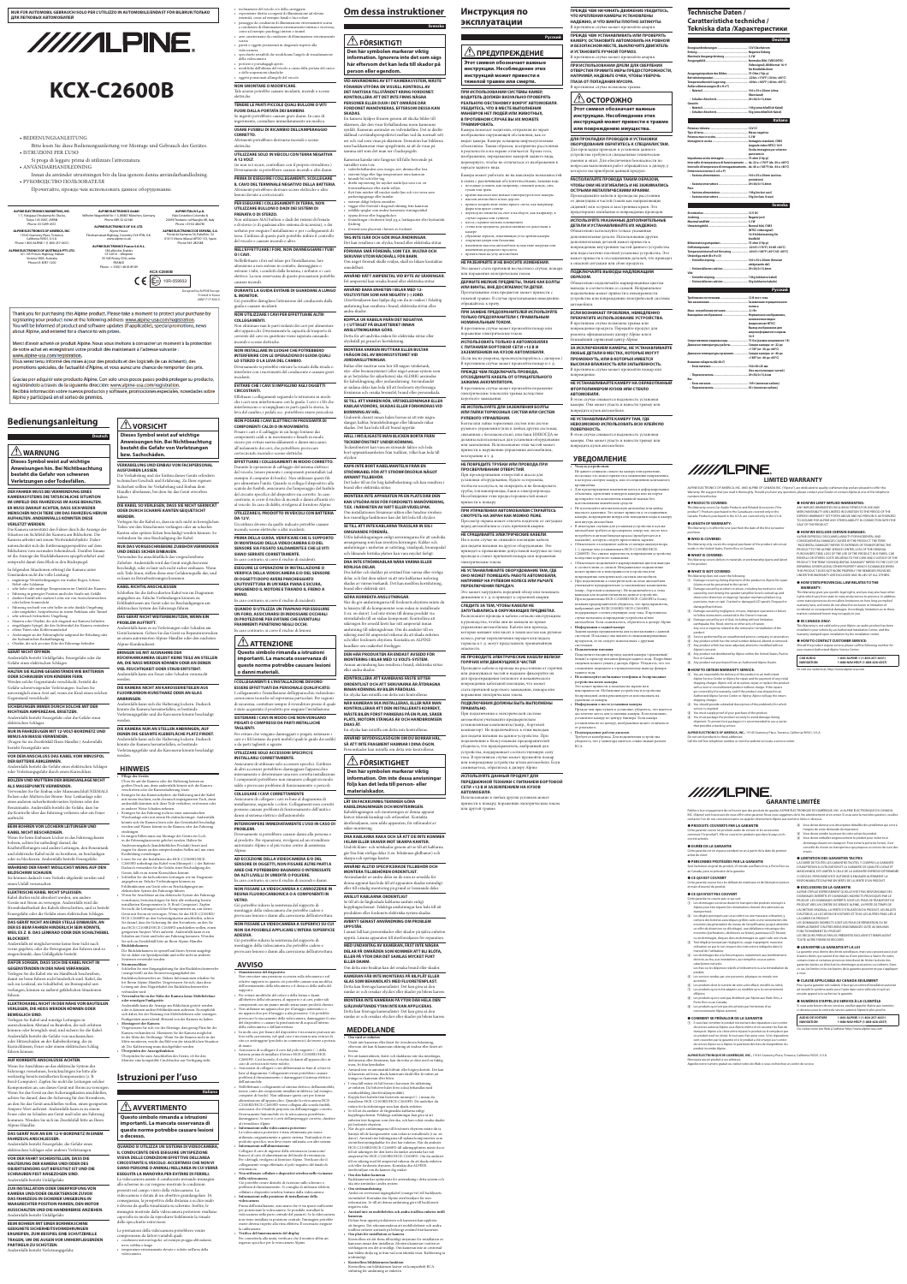# **Bedienungsanleitung**

**Deutsch**

Gracias por adquirir este producto Alpine. Con solo unos pocos pasos podrá proteger su producto, registrándolo a través de la siguiente dirección: www.alpine-usa.com/registration. Recibirá información sobre nuevos productos y software, promociones especiales, novedades sobre Alpine y participará en el sorteo de premios.

# **WARNUNG**

**Dieses Symbol weist auf wichtige Anweisungen hin. Bei Nichtbeachtung besteht die Gefahr von schweren Verletzungen oder Todesfällen.**

### **DER FAHRER MUSS BEI VERWENDUNG EINES KAMERASYSTEMS DIE TATSÄCHLICHE SITUATION IM UMFELD DES FAHRZEUGS IM AUGE BEHALTEN. ER MUSS DARAUF ACHTEN, DASS SICH WEDER MENSCHEN NOCH TIERE UM DAS FAHRZEUG HERUM AUFHALTEN. ANDERNFALLS KÖNNTEN DIESE VERLETZT WERDEN.**

Die Kamera unterstützt den Fahrer durch die Anzeige der Situation im Sichtfeld der Kamera am Bildschirm. Die Kamera arbeitet mit einem Weitwinkelobjektiv. Daher unterscheidet sich die Entfernungsperspektive auf dem Bildschirm vom normalen Seheindruck. Darüber hinaus ist die Anzeige der Rückfahrkamera spiegelverkehrt und entspricht damit dem Blick in den Rückspiegel.

In folgenden Situationen erbringt die Kamera unter Umständen nicht die volle Leistung: • ungünstige Wetterbedingungen wie starker Regen, Schnee,

### Nebel oder Schlamm • sehr hohe oder niedrige Temperaturen im Umfeld der Kamera • Fahrzeug in geneigter Position und/oder Straße mit Gefälle

besteht Feuergefahr usw. **VOR DEM ANSCHLUSS DAS KABEL VOM MINUSPOL DER BATTERIE ABKLEMMEN.**  werden

• direkter Einfall sehr starken Lichts wie von Autoscheinwerfern oder hellem Sonnenlicht • Fahrzeug wechselt von sehr heller in sehr dunkle Umgebung oder umgekehrt, beispielsweise in einem Parkhaus oder Tunnel

• sehr schwach beleuchtete Umgebung • Mauern oder Objekte, die sich diagonal zur Kamera befinden • eingeklappte Spiegel, die den Sichtwinkel der Kamera verändern • offene Türen oder Kofferraumdeckel

• Änderungen an der Fahrzeughöhe aufgrund der Beladung oder der hydraulischen Radaufhängung • Objekte, die sich an einer Ecke des Fahrzeugs befinden

### **GERÄT NICHT ÖFFNEN.**

Andernfalls besteht Unfallgefahr, Feuergefahr oder die Gefahr eines elektrischen Schlages.

### **HALTEN SIE KLEINE GEGENSTÄNDE WIE BATTERIEN**

**ODER SCHRAUBEN VON KINDERN FERN.** Werden solche Gegenstände verschluckt, besteht die Gefahr schwerwiegender Verletzungen. Suchen Sie unverzüglich einen Arzt auf, wenn ein Kind einen solchen Gegenstand verschluckt.

### **SICHERUNGEN IMMER DURCH SOLCHE MIT DER RICHTIGEN AMPEREZAHL ERSETZEN.**  Andernfalls besteht Feuergefahr oder die Gefahr eines

elektrischen Schlages. **NUR IN FAHRZEUGEN MIT 12-VOLT-BORDNETZ UND MINUS AN MASSE VERWENDEN.** 

### (Fragen Sie im Zweifelsfall Ihren Händler.) Andernfalls

### Andernfalls besteht die Gefahr eines elektrischen Schlages oder Verletzungsgefahr durch einen Kurzschluss.

### **BOLZEN UND MUTTERN DER BREMSANLAGE NICHT ALS MASSEPUNKTE VERWENDEN.**

Verwenden Sie für Einbau oder Masseanschluß NIEMALS Bolzen oder Muttern der Brems- bzw. Lenkanlage oder eines anderen sicherheitsrelevanten Systems oder des Benzintanks. Andernfalls besteht die Gefahr, dass Sie die Kontrolle über das Fahrzeug verlieren oder ein Feuer

### ausbricht. **BEIM BOHREN VON LÖCHERN LEITUNGEN UND**

**KABEL NICHT BESCHÄDIGEN.**  Wenn Sie beim Einbauen Löcher in das Fahrzeugchassis bohren, achten Sie unbedingt darauf, die Kraftstoffleitungen und andere Leitungen, den Benzintank und elektrische Kabel nicht zu berühren, zu beschädigen oder zu blockieren. Andernfalls besteht Feuergefahr.

### **WÄHREND DER FAHRT MÖGLICHST WENIG AUF DEN BILDSCHIRM SCHAUEN.**

Sie können dadurch vom Verkehr abgelenkt werden und einen Unfall verursachen.

### **ELEKTRISCHE KABEL NICHT SPLEISSEN.**

Kabel dürfen nicht abisoliert werden, um andere Geräte mit Strom zu versorgen. Andernfalls wird die Strombelastbarkeit des Kabels überschritten, und es besteht Feuergefahr oder die Gefahr eines elektrischen Schlages.

### **DAS GERÄT NICHT AN EINER STELLE EINBAUEN, AN DER ES BEIM FAHREN HINDERLICH SEIN KÖNNTE, WEIL ES Z. B. DAS LENKRAD ODER DEN SCHALTHEBEL BLOCKIERT.**

Andernfalls ist möglicherweise keine freie Sicht nach vorne gegeben, oder die Bewegungen des Fahrers sind so eingeschränkt, dass Unfallgefahr besteht.

### **DAFÜR SORGEN, DASS SICH DIE KABEL NICHT IN GEGENSTÄNDEN IN DER NÄHE VERFANGEN.**

Verlegen Sie die Kabel wie im Handbuch beschrieben, damit sie beim Fahren nicht hinderlich sind. Kabel, die sich im Lenkrad, im Schalthebel, im Bremspedal usw. verfangen, können zu äußerst gefährlichen Situationen führen.

### **ELEKTROKABEL NICHT IN DER NÄHE VON BAUTEILEN VERLEGEN, DIE HEISS WERDEN KÖNNEN ODER BEWEGLICH SIND.**

Verlegen Sie Kabel und sonstige Leitungen in ausreichendem Abstand zu Bauteilen, die sich erhitzen können oder beweglich sind, und sichern Sie die Kabel. Andernfalls besteht die Gefahr von mechanischen oder Hitzeschäden an der Kabelisolierung, die zu Kurzschlüssen, Feuer oder einem elektrischen Schlag führen können.

### **AUF KORREKTE ANSCHLÜSSE ACHTEN.**

Wenn Sie Anschlüsse an das elektrische System des Fahrzeugs vornehmen, berücksichtigen Sie bitte alle werkseitig bereits installierten Komponenten (z. B. Bord-Computer). Zapfen Sie nicht die Leitungen solcher Komponenten an, um dieses Gerät mit Strom zu versorgen. Wenn Sie das Gerät an den Sicherungskasten anschließen, achten Sie darauf, dass die Sicherung für den Stromkreis, an den Sie das Gerät anschließen wollen, einen geeigneten Ampere-Wert aufweist. Andernfalls kann es zu einem Feuer oder zu Schäden am Gerät und/oder am Fahrzeug kommen. Wenden Sie sich im Zweifelsfall bitte an Ihren Alpine-Händler.

### **DAS GERÄT NUR AN EIN 12-V-BORDNETZ IN EINEM FAHRZEUG ANSCHLIESSEN.**

ngangsleitung für den Rückfahrscheinw (orange/weiß) an das Stromversorgungskabel des Rückfahrscheinwerfers an. Nähere Informationen erhalten Sie bei Ihrem Alpine-Händler. Vergewissern Sie sich, dass diese Leitung mit dem Negativkabel des Rückfahrscheinwerfers verbunden wird.

Andernfalls besteht Feuergefahr, die Gefahr eines elektrischen Schlages oder anderer Verletzungen.

### **VOR DER FAHRT SICHERSTELLEN, DASS DIE HALTERUNG DER KAMERA UND/ODER DES OBJEKTSENSORS GUT BEFESTIGT IST UND DIE SCHRAUBEN FEST ANGEZOGEN SIND.** Andernfalls besteht Unfallgefahr.

**ZUR INSTALLATION ODER ÜBERPRÜFUNG VON KAMERA UND/ODER OBJEKTSENSOR ZUVOR DAS FAHRZEUG IN SICHERER UMGEBUNG IN WAAGRECHTER POSITION PARKEN, DEN MOTOR AUSSCHALTEN UND DIE HANDBREMSE ANZIEHEN.** Andernfalls besteht Unfallgefahr.

### **BEIM BOHREN MIT EINER BORHMASCHINE GEEIGNETE SICHERHEITSVORKEHRUNGEN ERGREIFEN, ZUM BEISPIEL EINE SCHUTZBRILLE TRAGEN, UM DIE AUGEN VOR UMHERFLIEGENDEN PARTIKELN ZU SCHÜTZEN.** Andernfalls besteht Verletzungsgefahr.

 **VORSICHT Dieses Symbol weist auf wichtige Anweisungen hin. Bei Nichtbeachtung besteht die Gefahr von Verletzungen bzw. Sachschäden.**

### **VERKABELUNG UND EINBAU VON FACHPERSONAL AUSFÜHREN LASSEN.** Die Verkabelung und der Einbau dieses Geräts erfordern technisches Geschick und Erfahrung. Zu Ihrer eigenen

Sicherheit sollten Sie Verkabelung und Einbau dem Händler überlassen, bei dem Sie das Gerät erworben haben.

 $\bullet~$ inclinazione del veicolo e/o della carreggiata • esposizione diretta a sorgenti di illuminazione ad elevata intensità, come ad esempio fanali o luce solare • passaggio da condizioni di illuminazione estremamente scarsa a condizioni di illuminazione estremamente intensa e viceversa,

### **DIE KABEL SO VERLEGEN, DASS SIE NICHT GEKNICKT ODER DURCH SCHARFE KANTEN GEQUETSCHT WERDEN.**

Verlegen Sie die Kabel so, dass sie sich nicht in beweglichen Teilen wie den Sitzschienen verfangen oder an scharfen Kanten oder spitzen Ecken beschädigt werden können. So verhindern Sie eine Beschädigung der Kabel.

### **NUR DAS VORGESCHRIEBENE ZUBEHÖR VERWENDEN UND DIESES SICHER EINBAUEN.**

Verwenden Sie ausschließlich das vorgeschriebene Zubehör. Andernfalls wird das Gerät möglicherweise beschädigt, oder es lässt sich nicht sicher einbauen. Wenn sich Teile lösen, stellen diese eine Gefahrenquelle dar, und es kann zu Betriebsstörungen kommen.

### **KABEL RICHTIG ANSCHLIESSEN**

### Schließen Sie die farbcodierten Kabel wie im Diagramm

angegeben an. Falsche Verbindungen können zu Fehlfunktionen am Gerät oder zu Beschädigungen am

# elektrischen System des Fahrzeugs führen.

# **DAS GERÄT NICHT WEITERBENUTZEN, WENN EIN**

**PROBLEM AUFTRITT.** 

Andernfalls kann es zu Verletzungen oder Schäden am Gerät kommen. Geben Sie das Gerät zu Reparaturzwecken an einen autorisierten Alpine-Händler oder den nächsten Alpine-Kundendienst.

### **BRINGEN SIE MIT AUSNAHME DER**

**RÜCKFAHRKAMERA SELBST KEINE TEILE AN STELLEN AN, DIE NASS WERDEN KÖNNEN ODER AN DENEN VIEL FEUCHTIGKEIT ODER STAUB ENTSTEHT.** Andernfalls kann ein Feuer oder Schaden verursacht werden.

### **DIE KAMERA NICHT AN KAROSSERIETEILEN AUS FLUORKARBON-KUNSTHARZ ODER AN GLAS**

# **ANBRINGEN.**

werden

Andernfalls kann sich die Halterung lockern. Dadurch könnte die Kamera herunterfallen, es bestünde Verletzungsgefahr und die Karosserie könnte beschädigt

### **DIE KAMERA NUR AN STELLEN ANBRINGEN, AUF DENEN DIE GESAMTE KLEBEFLÄCHE PLATZ FINDET.**

Andernfalls kann sich die Halterung lockern. Dadurch

könnte die Kamera herunterfallen, es bestünde Verletzungsgefahr und die Karosserie könnte beschädigt

### **HINWEIS**

**Pflege des Geräts** 

Üben Sie auf die Kamera oder die Halterung keinen zu großen Druck aus, denn andernfalls könnte sich die Kamera verschieben oder die Kamerahalterung lösen. • Reinigen Sie das Kameraobjektiv, die Halterung und die Kabel mit einem feuchten, nicht chemisch imprägnierten Tuch, denn

andernfalls könnten sich diese Teile verfärben, verformen oder in anderer Weise Schaden nehmen. • Reinigen Sie das Fahrzeug nicht in einer automatischen Waschanlage oder mit einem Hochdruckreiniger. Andernfalls

### könnte sich die Kamera lösen oder das Gerätekabel beschädigt werden und Wasser könnte in die Kamera oder das Fahrzeug eindringen • In einigen Fällen muss zur Montage des Geräts ein Loch in die Fahrzeugkarosserie gebohrt werden. Halten Sie

Ausbesserungslack (handelsübliches Produkt) bereit und tragen Sie diesen an den entsprechenden Stellen auf, um einer Rostbildung vorzubeugen. • Lösen Sie vor der Installation des HCE-C2100RD/HCE-C2600FD unbedingt das Kabel vom Minuspol (–) der Batterie. Dadurch vermeiden Sie die Gefahr einer Beschädigung des Geräts, falls es zu einem Kurzschluss kommt.

### • Schließen Sie die farbcodierten Leitungen wie im Diagramm angegeben an. Falsche Verbindungen können zu Fehlfunktionen am Gerät oder zu Beschädigungen am elektrischen System des Fahrzeugs führen. • Wenn Sie Anschlüsse an das elektrische System des Fahrzeugs

vornehmen, berücksichtigen Sie bitte alle werkseitig bereits installierten Komponenten (z. B. Bord-Computer). Zapfen Sie nicht die Leitungen solcher Komponenten an, um dieses Gerät mit Strom zu versorgen. Wenn Sie das HCE-C2100RD/ HCE-C2600FD an den Sicherungskasten anschließen, achten Sie darauf, dass die Sicherung für den Stromkreis, an den Sie das HCE-C2100RD/HCE-C2600FD anschließen wollen, einen

### geeigneten Ampere-Wert aufweist. Andernfalls kann es zu chäden am Gerät und/oder am Fahrzeug kommen. Wenden Sie sich im Zweifelsfall bitte an Ihren Alpine-Händler. • **Rückfahrkamera**

Die Rückfahrkamera ist speziell auf dieses System ausgelegt. Sie ist daher ein Spezialprodukt und sollte nicht in anderen Systemen verwendet werden.

• **Stromanschluss**

### • **Verwenden Sie in der Nähe der Kamera keine Mobiltelefone oder sonstigen Funkgeräte.**

Andernfalls kann die Anzeige am Bildschirm gestört werden oder es können andere Fehlfunktionen auftreten. Es empfiehlt sich daher, bei der Nutzung von Mobiltelefonen oder sonstigen Funkgeräten ausreichend Abstand von der Kamera zu halten. • **Montageort der Kamera** Vergewissern Sie sich vor der Montage, dass genug Platz für die Kamera vorhanden ist. Montieren Sie die Kamera möglichst in der Mitte der Stoßstange. Wenn Sie die Kamera nicht in der Mitte montieren, weicht das Bild von der tatsächlichen Situation

ab. Die Kalibrierung muss durchgeführt werden. • **Überprüfen der Anzeigefunktion** Überprüfen Sie zum Anschließen des Geräts, ob für den

Monitor eine kompatible Cinchbuchse zur Verfügung steht.

# **Istruzioni per l'uso**

**Italiano**

 **AVVERTIMENTO Questo simbolo rimanda a istruzioni** 

**importanti. La mancata osservanza di** 

### **queste norme potrebbe causare lesioni o decesso.**

**QUANDO SI UTILIZZA UN SISTEMA DI VIDEOCAMERA, IL CONDUCENTE DEVE ESEGUIRE UN'ISPEZIONE VISIVA DELLE CONDIZIONI EFFETTIVE DELL'AREA CIRCOSTANTE IL VEICOLO. ACCERTARSI CHE NON VI SIANO PERSONE O ANIMALI NELL'AREA IN CUI VERRÀ ESEGUITA LA MANOVRA PER EVITARE DI FERIRLI.** La videocamera assiste il conducente inviando immagini allo schermo in cui vengono mostrate le condizioni

presenti nel campo visivo della videocamera. La videocamera è dotata di un obiettivo grandangolare. Di conseguenza, la prospettiva della distanza a occhio nudo è diversa da quella visualizzata su schermo. Inoltre, le immagini mostrate dalla videocamera posteriore risultano capovolte in modo da riprodurre fedelmente la visuale dello specchietto retrovisore.

föremål som placerats i hörnet av fordone **TAG INTE ISÄR OCH GÖR INGA ÄNDRINGAR.**

Le prestazioni della videocamera potrebbero venire compromesse da fattori variabili quali: • condizioni meteorologiche, ad esempio pioggia abbondante, neve, nebbia o fango • temperature estremamente elevate o ridotte nell'area della videocamera

come ad esempio parcheggi interni o tunnel • aree caratterizzate da condizioni di illuminazione estremament scarsa • pareti o oggetti posizionati in diagonale rispetto alla

> **STRÖMKABEL FÖR ATT STRÖMFÖRSÖRJA NÅGOT ANNANT TILLBEHÖR.** Det leder till en för hög kabelbelastning och kan result

videocamera • specchietti retraibili che modificano l'angolo di visualizzazione della videocamera • portiere o portabagagli aperti • modifiche dell'altezza del veicolo a causa della portata del carico o delle sospensioni idrauliche

• oggetti posizionati all'angolo del veicolo **NON SMONTARE O MODIFICARE.**

Tale azione potrebbe causare incidenti, incendi o scosse elettriche.

### **TENERE LE PARTI PICCOLE QUALI BULLONI O VITI FUORI DALLA PORTATA DEI BAMBINI.**

Se ingeriti potrebbero causare gravi danni. In caso di ingerimento, consultare immediatamente un medico. **USARE FUSIBILI DI RICAMBIO DELL'AMPERAGGIO** 

**CORRETTO.** Altrimenti potrebbero derivarne incendi o scosse elettriche.

**UTILIZZARE SOLO IN VEICOLI CON TERRA NEGATIVA** 

**A 12 VOLT.** (se non si è sicuri, controllare con il proprio rivenditore.)

Diversamente si potrebbero causare incendi o altri danni. **PRIMA DI ESEGUIRE I COLLEGAMENTI, SCOLLEGARE IL CAVO DEL TERMINALE NEGATIVO DELLA BATTERIA.**

Altrimenti potrebbero derivare scosse elettriche o altre lesioni dovute a cortocircuiti.

### **PER ESEGUIRE I COLLEGAMENTI DI TERRA, NON UTILIZZARE BULLONI O DADI DEI SISTEMI DI**

**FRENATA O DI STERZO.** Non utilizzare MAI bulloni o dadi dei sistemi di frenata e di sterzo (o di qualsiasi altro sistema di sicurezza), o dei serbatoi per eseguire l'installazione o per i collegamenti di terra. L'utilizzo di queste parti potrebbe inibire il controllo del veicolo e causare incendi o altro.

### **NELL'EFFETTUARE I FORI, NON DANNEGGIARE I TUBI O I CAVI.**

Nell'effettuare i fori nel telaio per l'installazione, fare attenzione a non entrare in contatto, danneggiare o ostruire i tubi, i condotti della benzina, i serbatoi o i cavi elettrici. La non osservanza di queste precauzioni potrebbe causare incendi.

**DURANTE LA GUIDA EVITARE DI GUARDARE A LUNGO IL MONITOR.** Ciò potrebbe distogliere l'attenzione del conducente dalla

guida e causare incidenti.

**NON UTILIZZARE I CAVI PER EFFETTUARE ALTRI COLLEGAMENTI.**

Non eliminare mai le parti isolanti dei cavi per alimentare altri apparecchi. Diversamente la capacità di trasporto di corrente del cavo in questione viene superata causando incendi o scosse elettriche.

**NON INSTALLARE IN LUOGHI CHE POTREBBERO INTERFERIRE CON LE OPERAZIONI DI GUIDA QUALI LO STERZO O LA LEVA DEL CAMBIO.**

Diversamente si potrebbe ostruire la visuale della strada o interferire con i movimenti del conducente e causare gravi incidenti.

### **EVITARE CHE I CAVI SI IMPIGLINO AGLI OGGETTI CIRCOSTANTI.**

Effettuare i collegamenti seguendo le istruzioni in modo che i cavi non interferiscano con la guida. I cavi o i fili che interferiscono o si impigliano in parti quali lo sterzo, la leva del cambio, i pedali, ecc. potrebbero essere pericolosi.

**NON POSARE I CAVI ELETTRICI IN PROSSIMITÀ DI COMPONENTI CALDI O IN MOVIMENTO.** Posare i cavi e il cablaggio in un luogo lontano dai componenti caldi o in movimento e fissarli in modo sicuro per evitare surriscaldamenti o danni meccanici all'isolamento dei cavi, che potrebbero provocare

cortocircuiti, incendi o scosse elettriche. **EFFETTUARE I COLLEGAMENTI IN MODO CORRETTO.** Durante le operazioni di cablaggio del sistema elettrico

del veicolo, tenere presente i componenti preinstallati (ad esempio il computer di bordo). Non utilizzare questi fili per alimentare l'unità. Quando si collega il dispositivo alla

scatola dei fusibili, assicurarsi che l'amperaggio del fusibile

### del circuito specifico del dispositivo sia corretto. In caso contrario, si corre il rischio di incendi o danni all'unità e/o al veicolo. In caso di dubbi, rivolgersi al fornitore Alpine. **UTILIZZARE IL PRODOTTO IN VEICOLI CON BATTERIA DA 12 V.**

Un utilizzo diverso da quello indicato potrebbe causare

incendi, scosse elettriche o altri incidenti.

**PRIMA DELLA GUIDA, VERIFICARE CHE IL SUPPORTO DI MONTAGGIO DELLA VIDEOCAMERA E/O DEL SENSORE SIA FISSATO SALDAMENTE E CHE LE VITI** 

• переход из темноты на свет и наоборот, как например, в случае гаража или туннеля • места с крайне плохим освещение

**SIANO SERRATE CORRETTAMENTE.** In caso contrario, si corre il rischio di incidenti. **ESEGUIRE LE OPERAZIONI DI INSTALLAZIONE O VERIFICA DELLA VIDEOCAMERA E/O DEL SENSORE DI OGGETTI DOPO AVERE PARCHEGGIATO L'AUTOVETTURA IN UN'AREA PIANA E SICURA, SPEGNENDO IL MOTORE E TIRANDO IL FRENO A** 

**ATTENZIONE** 

**MANO.** In caso contrario, si corre il rischio di incidenti.

> **QUANDO SI UTILIZZA UN TRAPANO PER ESEGUIRE UN FORO, ASSICURARSI DI INDOSSARE OCCHIALI DI PROTEZIONE PER EVITARE CHE EVENTUALI FRAMMENTI PENETRINO NEGLI OCCHI.** In caso contrario, si corre il rischio di lesioni.

**Questo simbolo rimanda a istruzioni importanti. La mancata osservanza di queste norme potrebbe causare lesioni o danni materiali.**

> **I COLLEGAMENTI E L'INSTALLAZIONE DEVONO ESSERE EFFETTUATI DA PERSONALE QUALIFICATO.** I collegamenti e l'installazione dell'apparecchio richiedono conoscenze tecniche ed esperienza particolari. Per ragioni di sicurezza, contattare sempre il rivenditore presso il quale è stato acquistato il prodotto per eseguire l'installazione. **SISTEMARE I CAVI IN MODO CHE NON VENGANO PIEGATI O COMPRESSI DA PARTI METALLICHE**

**TAGLIENTI.**

Per evitare che vengano danneggiati o piegati, sistemare i cavi e i fili lontano da parti mobili (quali le guide dei sedili)

o da parti taglienti o aguzze.

**UTILIZZARE SOLO ACCESSORI SPECIFICI E** 

**INSTALLARLI CORRETTAMENTE.**

Assicurarsi di utilizzare solo accessori specifici. L'utilizzo

di altri accessori potrebbero danneggiare l'apparecchio internamente o determinare una non corretta installazione. I componenti potrebbero non rimanere collegati in modo saldo e provocare problemi di funzionamento o pericoli.

### **COLLEGARE I CAVI CORRETTAMENTE**

Assicurarsi di collegare i cavi in base al diagramma di installazione, seguendo i colori. Collegamenti non corretti possono causare problemi di funzionamento dell'unità o danni al sistema elettrico dell'automobile.

### **INTERROMPERE IMMEDIATAMENTE L'USO IN CASO DI PROBLEMI.**

Diversamente si potrebbero causare danni alla persona o al prodotto. Per riparazioni, rivolgersi ad un rivenditore autorizzato Alpine o al più vicino centro di assistenza Alpine.

### **AD ECCEZIONE DELLA VIDEOCAMERA E/O DEL SENSORE DI OGGETTI, NON FISSARE ALTRE PARTI A AREE CHE POTREBBERO BAGNARSI O INTERESSATE DA ALTI LIVELLI DI UMIDITÀ O POLVERE.**

In caso contrario, si corre il rischio di incendi o danni. **NON FISSARE LA VIDEOCAMERA A CARROZZERIE IN** 

### **RESINA FLUOROCARBONICA O A COMPONENTI IN VETRO.**

**ADESIVA.**

Ciò potrebbe ridurre la resistenza del supporto di montaggio della videocamera che potrebbe cadere e

**AVVISO**

• **Manutenzione del dispositivo** Non esercitare una pressione eccessiva sulla telecamera o sul relativo supporto in quanto ciò potrebbe causare una modifica dell'orientamento della telecamera o il distacco della staffa del supporto.

• Per evitare modifiche del colore o della forma o danni all'obiettivo della telecamera, al supporto e ai cavi, pulire tali

componenti con un panno umido senza usare prodotti chimici. • Non utilizzare un apparecchio per il lavaggio automatico o un apparecchio per il lavaggio a alta pressione. Ciò potrebbe provocare lo staccamento della videocamera, danneggiare il cavo del dispositivo o causare la penetrazione di acqua all'interno della videocamera o dell'autovettura. • In molti casi, per fissare del dispositivo è necessario praticare un

foro nella carrozzeria, nel qual caso è necessaria una vernice di ritocco antiruggine (prodotto in commercio) da tenere a portata

di mano.

• Assicurarsi di scollegare il cavo dal polo negativo (–) della batteria prima di installare il lettore HCE-C2100RD/HCE-C2600FD. Così facendo, il rischio di danni all'apparecchio in

caso di cortocircuiti viene ridotto.

• Assicurarsi di collegare i cavi differenziati in base al colore in

base al diagramma. Collegamenti errati potrebbero causare problemi di funzionamento o danneggiare il sistema elettrico

• Nell'effettuare i collegamenti al sistema elettrico dell'automobile,

dell'automobile.

• **Informazioni sulla videocamera posteriore**

tenere conto dei componenti installati in fabbrica (ad esempio, computer di bordo). Non utilizzare questi cavi per fornire alimentazione all'apparecchio. Quando la retrocamera HCE-C2100RD/HCE-C2600FD viene collegata alla scatola fusibili, assicurarsi che il fusibile preposto sia dell'amperaggio corretto. Diversamente l'automobile e/o la retrocamera potrebbero danneggiarsi. Se non si è certi dell'amperaggio corretto, chiedere Прежде чем приступать к установке, убедитесь, что имеется достаточно места для установки камеры. Если возможно, установите камеру по центру бампера. Если камера установлена не по центру, изображение может отличатьс

al rivenditore Alpine.

narcia.

La videocamera posteriore è stata ottimizzata per essere utilizzata congiuntamente a questo sistema. Trattandosi di un prodotto specifico, non deve essere utilizzata con altri sistemi.

• **Informazioni sull'alimentazione**

Collegare il cavo di ingresso della retromarcia (arancione/ bianco) al cavo di alimentazione del fanale di retromarcia. Per i dettagli, rivolgersi al fornitore Alpine. Verificare che il collegamento venga effettuato al polo negativo del fanale di

• **Non utilizzare cellulari o dispositivi wireless nelle vicinanze** 

**della videocamera.**

Ciò potrebbe creare disturbi di ricezione sullo schermo o problemi di funzionamento. Si consiglia di utilizzare telefoni cellulari o dispositivi wireless lontano dalla videocamera. • **Informazioni sulla posizione di installazione della** 

**videocamera**

E Service performed by an unauthorized person, company or association.  $\widehat{F}$  Any product which has the serial number defaced, altered or removed.  $\widehat{z}$  Any product which has been adjusted, altered or modified without

 $\circledast$  Any product not distributed by Alpine within the United States, Puerto

Prima dell'installazione, assicurarsi che vi sia spazio sufficiente per posizionare la videocamera. Se possibile, installare la videocamera nella parte centrale del paraurti. Se la videocamera non viene installata in posizione centrale, l'immagine potrebbe essere diversa rispetto alla vista effettiva. È necessario eseguire

la calibrazione.

• **Verifica del funzionamento del display**

Per connetterla alla unità, verificare che il monitor abbia un

ingresso specifico per le retrocamere Alpine.

# **Om dessa instruktioner**

 $\left(\overline{1}\right)$  You are responsible for delivery of the product to an Authorized Alpine Service Center or Alpine for repair and for payment of any initial shipping charges. Alpine will, at its option, repair or replace the product with a new or reconditioned product without charge. If the repairs are covered by the warranty, and if the product was shipped to an Authorized Alpine Service Center or Alpine, Alpine will pay the return



**information. Ignorera inte det som sägs här eftersom det kan leda till skador på person eller egendom.**

> **LIMITED WARRANTY** ALPINE ELECTRONICS OF AMERICA, INC. AND ALPINE OF CANADA INC. ("Alpine"), are dedicated to quality craftsmanship and are pleased to offer this Warranty. We suggest that you read it thoroughly. Should you have any questions, please contact your Dealer or contact Alpine at one of the telephone

**VID ANVÄNDNING AV ETT KAMERASYSTEM, MÅSTE FÖRAREN UTFÖRA EN VISUELL KONTROLL AV DET FAKTISKA TILLSTÅNDET KRING FORDONET. KONTROLLERA ATT DET INTE FINNS NÅGRA PERSONER ELLER DJUR I DET OMRÅDE DÄR FORDONET MANÖVRERAS, EFTERSOM DESSA KAN**  En kamera hjälper föraren genom att skicka bilder till

**SKADAS.**

skärmen, där den visar förhållandena inom kamerans synfält. Kameran använder en vidvinkellins. Det är därför skillnad i avståndsperspektivet mellan vad du normalt sett ser och vad som visas på skärmen. Dessutom har bilderna som backkameran visar spegelvänts, så att de visas på samma sätt som det man ser i backspegeln.

Kameran kanske inte fungerar till fullo beroende på variabler som t.ex: • väderförhållanden som ösregn, snö, dimma eller lera • extremt höga eller låga temperaturer nära kameran

• lutande bil och/eller väg • direkt exponering för mycket starkt ljus som t.ex. en frontstrålkastare eller starkt solljus • flytt från mörker till mycket starkt ljus och vice versa som parkeringsgarage eller tunnlar • extremt dåligt belysta områden

• väggar eller föremål i diagonal riktning från kameran • infällda speglar som ändrar kamerans visningsvinkel

Ciò potrebbe ridurre la resistenza del supporto di montaggio della videocamera che potrebbe cadere e provocare lesioni o danni alla carrozzeria dell'autovettura. Se till att de färgkodade kablarna ansluts enligt kopplingsschemat. Felaktiga anslutningar kan leda till att produkten eller fordonets elektriska system skadas.

• öppna dörrar eller bagageluckor • förändringar i fordonets höjd p.g.a. lastkapacitet eller hydraulisk

### **NON FISSARE LA VIDEOCAMERA A SUPERFICI SU CUI NON SIA POSSIBILE APPLICARE L'INTERA SUPERFICIE AVBRYT GENAST ANVÄNDNING OM PROBLEM UPPSTÅR.**

fjädring

Det kan resultera i en olycka, brand eller elektriska stötar.

provocare lesioni o danni alla carrozzeria dell'autovettura. **MED UNDANTAG AV KAMERAN, FÄST INTE NÅGRA DELAR PÅ OMRÅDEN SOM KOMMER ATT BLI BLÖTA, ELLER PÅ YTOR DÄR DET SAMLAS MYCKET FUKT** 

**FÖRVARA SMÅ FÖREMÅL SOM T.EX. BULTAR OCH SKRUVAR UTOM RÄCKHÅLL FÖR BARN.** Om något föremål skulle sväljas, skall en läkare kontaktas

omedelbart. **ANVÄND RÄTT AMPERETAL VID BYTE AV SÄKRINGAR.**

Fel amperetal kan orsaka brand eller elektriska stötar. **ANVÄND BARA ENHETEN I BILAR MED 12-**

**VOLTSYSTEM SOM HAR NEGATIV (–) JORD.** (Återförsäljaren kan hjälpa dig om du är osäker.) Felaktig anslutning kan resultera i brand, elektriska stötar eller

andra skador. **KOPPLA UR KABELN FRÅN DET NEGATIVA (–) UTTAGET PÅ BILBATTERIET INNAN** 

> $\widehat{B}$  Les dégâts provoqués par un accident ou une mauvaise utilisation, y ompris des bobines acoustiques grillées suite à une surexcitation de enceintes (augmentation du niveau de l'amplificateur jusqu'à atteindre un effet de distorsion ou d'écrêtage), une défaillance mécanique des enceintes (perforations, déchirures ou fentes), panneaux LCD fissuré ou endommagés, disques durs endommagés ou ayant subi une chute. C Tout dégât provoqué par négligence, usage inapproprié, mauvaise utilisation ou par le non-respect des instructions indiquées dans le

**ANSLUTNINGARNA GÖRS.** Detta för att undvika risken för elektriska stötar eller olycksfall på grund av kortslutning.

> cataclysmes naturels; Les frais ou les dépenses re

autorisée; F Les produits dont le numéro de série a été effacé, modifié ou retiré;  $\widehat{z}$  Les produits qui ont été adaptés ou modifiés sans le consentement

**MONTERA VARKEN MUTTRAR ELLER BULTAR I NÅGON DEL AV BROMSSYSTEMET VID JORDANSLUTNINGAR.**

Bultar eller muttrar som hör till någon vätsketank, styr- eller bromssystemet (eller något annan system som är av betydelse för säkerheten) ska ALDRIG användas för kabeldragning eller jordanslutning. Användandet av sådana delar kan leda till att fordonets styrförmåga

försämras och orsaka bromsfel, brand eller personskada. **SE TILL ATT VARKEN RÖR, VÄTSKELEDNINGAR ELLER** 

**KABLAR VIDRÖRS, SKADAS ELLER FÖRHINDRAS VID BORRNING AV HÅL.** Undersök chassit innan hålen borras så att inte några

slangar, kablar, bränsleledningar eller liknande råkar skadas. Det kan leda till att brand uppstår.

**HÅLL I MÖJLIGASTE MÅN BLICKEN BORTA FRÅN TECKENFÖNSTRET UNDER KÖRNING.** Teckenfönstret kan vara en störande faktor och leda

bort uppmärksamheten från trafiken, vilket kan leda till olyckor. **KAPA INTE BORT KABELMANTELN FRÅN EN** 

brand eller elektriska stötar.

**T.EX. I NÄRHETEN AV RATT ELLER VÄXELSPAK.** Om installationen försämrar sikten eller hindrar rörelsen hos väsentliga funktioner kan det lätt leda till olyckor. **SE TILL ATT INTE KABLARNA TRASSLAR IN SIG I** 

**OMGIVANDE FÖREMÅL.**

Utför kabeldragningen enligt anvisningarna för att undvika arrangemang som kan äventyra körningen. Kablar och anslutningar i närheten av rattstång, växelspak, bromspedal och liknande kritiska platser kan vara mycket farligt. **DRA INTE STRÖMKABLAR NÄRA VARMA ELLER** 

**RÖRLIGA DELAR.**

Dra kablar och sladdar på avstånd från varma eller rörliga delar, och fäst dem säkert så att inte kablarnas isolering skadas av värme/mekanik. Det kan medföra kortslutning,

brand eller elektrisk stöt.

**GÖRA KORREKTA ANSLUTNINGAR.**

V'envoyez aucun produit à ces adres Appelez notre numéro gratuit ou visitez notre site Web si vous recherchez un centre de service.

När du gör anslutningarna till fordonets elsystem måste du ta hänsyn till de komponenter som redan är installerade (t.ex. en dator). Led inte ström till denna produkt via strömkabeln till en sådan komponent. Kontrollera att säkringen för avsedd krets har rätt amperetal innan anslutning till säkringsdosan. Om du ansluter till en säkring med fel amperetal riskerar du att skada enheten och/eller fordonets elsystem. Kontakta en ALPINE-

handlare om osäkerhet föreligger.

**DEN HÄR PRODUKTEN ÁR ENDAST AVSEDD FÖR MONTERING I BILAR MED 12 VOLTS-SYSTEM.** Annan användning kan resultera i brand, elektriska stötar

eller andra skador.

**KONTROLLERA ATT KAMERANS FÄSTE SITTER ORDENTLIGT OCH ATT SKRUVARNA ÄR ÅTDRAGNA** 

**Svenska эксплуатации**

**INNAN KÖRNING AV BILEN PÅBÖRJAS.** En olycka kan inträffa om detta inte kontrolleras. **(segnale video NTSC) 16:9 Uscita immagine per scherm** 

**NÄR KAMERAN SKA INSTALLERAS, ELLER NÄR MAN KONTROLLERAR ATT DEN INSTALLERATS KORREKT, MÅSTE BILEN FÖRST PARKERAS PÅ EN PLAN, SÄKER PLATS, MOTORN STÄNGAS AV OCH HANDBROMSEN** 

**DRAS ÅT.**

En olycka kan inträffa om detta inte kontrolleras. **ANVÄND SKYDDSGLASÖGON OM DU BORRAR HÅL, SÅ ATT INTE FRAGMENT HAMNAR I DINA ÖGON.** Personskador kan inträffa om detta inte kontrolleras.

 **FÖRSIKTIGHET**

**Strömbehov .......................................................... 12 V DC** ... Negativ jord

**Den här symbolen markerar viktig information. Om inte dessa anvisningar följs kan det leda till person- eller** 

**materialskador.**

**LÅT EN FACKKUNNIG TEKNIKER GÖRA KABELDRAGNINGEN OCH MONTERINGEN.** Kabeldragningen och monteringen av denna apparat kräver teknisk kunskap och erfarenhet. Kontakta återförsäljaren, som sålde apparaten, för utförandet av

säker montering.

**DRA KABLARNA RAKA OCH SÅ ATT DE INTE KOMMER I KLÄM ELLER SKAVER MOT SKARPA KANTER.** Undvik kläm- och nötskador genom att se till att kablarna går fria från rörliga delar (t.ex. bilsätenas glidbanor) och

skarpa och spetsiga kanter.

**ANVÄND ALLTID SPECIFICERADE TILLBEHÖR OCH** 

.<br>peбования по питанию ................................... 12 В пост. тока **Тип заземления ................................................... Заземление отрицательного** 

**MONTERA TILLBEHÖREN ORDENTLIGT.** Användandet av andra delar än de som är avsedda för denna apparat kan leda till att apparaten skadas invändigt eller till ostadig montering på grund av lossnande delar.

**ANSLUT KABLARNA ORDENTLIGT**

I annat fall kan personskador eller skador på själva enheten uppstå. Lämna apparaten till återförsäljaren för reparation.

**ELLER DAMM.** Om detta inte beaktas kan det orsaka brand eller skador.

### **KAMERAN FÅR INTE MONTERAS PÅ BILPLÅT ELLER**

**GLAS SOM BEHANDLATS MED FLUORETENPLAST.** Detta kan försvaga kamerafästet. Det kan göra så den ramlar av och orsakar olyckor eller skador på bilens kaross.

### **MONTERA INTE KAMERAN PÅ YTOR DÄR HELA DEN SJÄLVHÄFTANDE YTAN INTE KAN APPLICERAS.**

Detta kan försvaga kamerafästet. Det kan göra så den ramlar av och orsakar olyckor eller skador på bilens kaross.

### **MEDDELANDE**

### • **Om vård av enheten**

Utsätt inte kameran eller fästet för överdriven belastning, eftersom det kan få kamerans riktning att ändras eller fästet att lossna.

• För att kameralinsen, fästet och sladdarna inte ska missfärgas, deformeras eller försämras, kan du torka av dem med en fuktig trasa, fri från kemikalier.

• Använd inte en automatisk biltvätt eller högtryckstvätt. Det kan få kameran att lossa, skada kamerans sladd eller få vatten att tränga in i kameran eller bilen.

I vissa fall måste ett hål borras i karossen för infästnir av enheten. Då behöver hålet först också behandlas med

rostskyddsfärg (återförsäljarprodukt). • Koppla bort kabeln från batteriets minuspol (–) innan du

• installerar HCE-C2100RD/HCE-C2600FD. Då undviker du risken för kortslutningar som kan skada enheten. Se till att du ansluter de färgmärkta kablarna enligt

kopplingsschemat. Felaktiga anslutningar kan göra så att enheten inte fungerar som den ska, och kan också orsaka skador på fordonets elsystem.

**MONTERA INTE APPARATEN PÅ EN PLATS DÄR DEN KAN UTGÖRA RISK FÖR FORDONETS MANÖVRERING,**  чтобы не коснуться, не повредить и не блокировать трубы, топливопроводы, баки и электропровода. Несоблюдение этих предосторожностей может привести к пожару.

• När du gör anslutningarna till fordonets elsystem måste du ta hänsyn till de komponenter som redan är installerade (t.ex. en dator). Använd inte ledningarna till sådana komponenter som strömförsörjningskablar för den här enheten. När du ansluter HCE-C2100RD/HCE-C2600FD till säkringsplinten måste du se till att säkringen för den krets du tänker använda har rätt amperetal för HCE-C2100RD/HCE-C2600FD. Om du ansluter till en säkring med fel amperetal riskerar du att skada enheten och/eller fordonets elsystem. Kontakta din ALPINEåterförsäljare om du känner dig osäker.

### • **Om den bakre kameran**

Backkameran har optimerats för användning i detta system och ska inte användas i andra system.

• **Om strömanslutning**

Anslut en reverserad ingångskabel (orange/vit) till backljusets strömkabel. Kontakta din Alpine-återförsäljare för mer information. Se till att denna anslutning görs till backljusets

negativa sida. • **Använd inte en mobiltelefon och andra trådlösa enheter intill kameran.**

Då kan brus uppstå på skärmen och kameran kan upphöra att fungera. Det rekommenderas att mobiltelefoner och andra trådlösa enheter används på behörigt avstånd från kameran.

• **Om plats för installation av kamera** Kontrollera att det finns tillräckligt utrymme för installation av kameran innan den installeras. Montera kameran i mitten av stötfångaren om det är möjligt. Om kameran inte är centrerad kan bilden skilja sig åt från vad som faktiskt visas. Kalibrering är nödvändigt.

• **Kontrollera bildskärmens funktion**

Kontrollera om bildskärmen kräver ett kompatibelt RCAstiftuttag för anslutning av enheten.

**Инструкция по** 

### **Русский ПРЕДУПРЕЖДЕНИЕ Этот символ обозначает важные инструкции. Несоблюдение этих инструкций может привести к**

**тяжелой травме или смерти. ПРИ ИСПОЛЬЗОВАНИИ СИСТЕМЫ КАМЕР, ВОДИТЕЛЬ ДОЛЖЕН ВИЗУАЛЬНО ПРОВЕРЯТЬ** 

**РЕАЛЬНУЮ ОБСТАНОВКУ ВОКРУГ АВТОМОБИЛЯ. УБЕДИТЕСЬ, ЧТО В МЕСТЕ ВЫПОЛНЕНИЯ МАНЕВРОВ НЕТ ЛЮДЕЙ ИЛИ ЖИВОТНЫХ, В ПРОТИВНОМ СЛУЧАЕ ВЫ ИХ МОЖЕТЕ ТРАВМИРОВАТЬ.**

Камера помогает водителю, отправляя не экран изображение окружающей обстановки, как ее видит камера. Камера оснащена широкоугольным объективом. Таким образом, восприятие расстояния в реальности и на экране отличается. Кроме того, изображение, передаваемое камерой заднего вида, перевернуто, чтобы не отличаться от изображения в зеркале заднего вида.

Камера может работать не на максимум возможностей в связи с различными обстоятельствами, такими как: • погодные условия, как например, сильный дождь, снег, туман или грязь

• крайне высокая или низкая температура возле камеры • наклон автомобиля и/или дороги • прямое воздействие очень яркого света, как например, фары или яркое солнце

• стены или предметы, расположенные по диагонали к камере • убранные зеркала, изменяющие угол зрения камеры • открытые двери или багажник

• изменение высоты автомобиля вследствие загрузки или изменения дорожного просвет • препятствия на углу автомобиля

**НЕ РАЗБИРАЙТЕ И НЕ ВНОСИТЕ ИЗМЕНЕНИЯ.** Это может стать причиной несчастного случая, пожара

или поражения электрическим током. **ДЕРЖИТЕ МЕЛКИЕ ПРЕДМЕТЫ, ТАКИЕ КАК БОЛТЫ ИЛИ ВИНТЫ, ВНЕ ДОСЯГАЕМОСТИ ДЕТЕЙ.**

Проглатывание этих предметов может привести с тяжелой травме. В случае проглатывания немедленно обращайтесь к врачу.

**ПРИ ЗАМЕНЕ ПРЕДОХРАНИТЕЛЕЙ ИСПОЛЬЗУЙТЕ ТОЛЬКО ПРЕДОХРАНИТЕЛИ С ПРАВИЛЬНЫМ НОМИНАЛЬНЫМ ТОКОМ.** В противном случае может произойти пожар или

поражение электрическим током. **ИСПОЛЬЗОВАТЬ ТОЛЬКО В АВТОМОБИЛЯХ** 

**С ПИТАНИЕМ БОРТОВОЙ СЕТИ +12 В И ЗАЗЕМЛЕНИЕМ НА КУЗОВ АВТОМОБИЛЯ.** (Если вы не уверены, проконсультируйтесь с дилером.) В противном случае может произойти пожар и т. д.

**ПРЕЖДЕ ЧЕМ ПОДКЛЮЧАТЬ ПРОВОДА, ОТСОЕДИНИТЕ КАБЕЛЬ ОТ ОТРИЦАТЕЛЬНОГО ЗАЖИМА АККУМУЛЯТОРА.**

В противном случае может произойти поражение электрическим током или травма вследствие

короткого замыкания. **НЕ ИСПОЛЬЗУЙТЕ ДЛЯ ЗАЗЕМЛЕНИЯ БОЛТЫ ИЛИ ГАЙКИ ТОРМОЗНЫХ СИСТЕМ ИЛИ СИСТЕМ** 

### **РУЛЕВОГО УПРАВЛЕНИЯ.** Болты или гайки тормозных систем или систем

рулевого управления (или в любых других системах, связанных с безопасностью), или баки НИКОГДА не должны использоваться для установки оборудования или заземления. Использование этих частей может привести к нарушению управления автомобилем, возгоранию и т. д.

**НЕ ПОВРЕДИТЕ ТРУБКИ ИЛИ ПРОВОДА ПРИ ПРОСВЕРЛИВАНИИ ОТВЕРСТИЙ.**

При просверливании отверстий в шасси для установки оборудования, будьте осторожны,

### **ПРИ УПРАВЛЕНИИ АВТОМОБИЛЕМ СТАРАЙТЕСЬ СМОТРЕТЬ НА ЭКРАН КАК МОЖНО РЕЖЕ.**

перед автомобилем и стать причиной аварии. **НЕ СРАЩИВАЙТЕ ЭЛЕКТРИЧЕСКИЕ КАБЕЛИ.** Ни в коем случае не снимайте изоляцию кабеля

для подачи питания на другое оборудование. Это приведет к превышению допустимой нагрузки по току провода и станет причиной пожара или поражения электрическим током.

### **НЕ УСТАНАВЛИВАЙТЕ ОБОРУДОВАНИЕ ТАМ, ГДЕ ОНО МОЖЕТ ПОМЕШАТЬ РАБОТЕ АВТОМОБИЛЯ, НАПРИМЕР НА РУЛЕВОМ КОЛЕСЕ ИЛИ РЫЧАГЕ ПЕРЕКЛЮЧЕНИЯ ПЕРЕДАЧ.**

Это может затруднить передний обзор или помешать движению и т. д. и приведет к серьезной аварии.

### **СЛЕДИТЕ ЗА ТЕМ, ЧТОБЫ КАБЕЛИ НЕ ЗАПУТЫВАЛИСЬ В ОКРУЖАЮЩИХ ПРЕДМЕТАХ.** Расположите провода и кабели согласно инструкциям

в руководстве, чтобы они не мешали во время управления автомобилем. Кабели или провода, которые мешают или висят в таких местах как рулевое колесо, рычаг переключения передач или педаль тормоза и т. д. могут представлять чрезвычайную опасность.

### **НЕ ПРОВОДИТЕ ЭЛЕКТРИЧЕСКИЕ КАБЕЛИ ВБЛИЗИ ГОРЯЧИХ ИЛИ ДВИЖУЩИХСЯ ЧАСТЕЙ**

Проводите кабели и провода на расстоянии от горячих или движущихся частей и надежно фиксируйте их для предотвращения теплового и механического повреждения кабельной изоляции, что может стать причиной короткого замыкания, пожара или поражения электрическим током.

### **ПОДКЛЮЧЕНИЯ ДОЛЖНЫ БЫТЬ ВЫПОЛНЕНЫ**

**ПРАВИЛЬНО.** При подключении к электрической системе автомобиля учитывайте предварительно установленные компоненты (напр., бортовой компьютер). Не подключайтесь к этим выводам для подачи питания на данное устройство. При подключении к блоку плавких предохранителей убедитесь, что предохранитель, выбранный для устройства, поддерживает соответствующую силу тока. В противном случае может произойти пожар или повреждение устройства и/или автомобиля. Если сомневаетесь, обратитесь к дилеру Alpine.

### **ИСПОЛЬЗУЙТЕ ДАННЫЙ ПРОДУКТ ДЛЯ ПЕРЕДВИЖНОЙ ТЕХНИКИ С ПИТАНИЕМ БОРТОВОЙ СЕТИ +12 В И ЗАЗЕМЛЕНИЕМ НА КУЗОВ АВТОМОБИЛЯ.**

Использование в любых других условиях может привести к пожару, поражению электрическим током или другой травме.

**ПРЕЖДЕ ЧЕМ НАЧИНАТЬ ДВИЖЕНИЕ УБЕДИТЕСЬ, ЧТО КРЕПЛЕНИЯ КАМЕРЫ УСТАНОВЛЕНЫ НАДЕЖНО, И ЧТО ВИНТЫ ПЛОТНО ЗАТЯНУТЫ.**

В противном случае может произойти авария.

**ПРЕЖДЕ ЧЕМ УСТАНАВЛИВАТЬ ИЛИ ПРОВЕРЯТЬ КАМЕРУ, ОСТАНОВИТЕ АВТОМОБИЛЬ НА РОВНОМ И БЕЗОПАСНОМ МЕСТЕ, ВЫКЛЮЧИТЕ ДВИГАТЕЛЬ И УСТАНОВИТЕ РУЧНОЙ ТОРМОЗ.** В противном случае может произойти авария. **ПРИ ИСПОЛЬЗОВАНИИ ДРЕЛИ ДЛЯ СВЕРЛЕНИЯ ОТВЕРСТИЯ ПРИМИТЕ МЕРЫ ПРЕДОСТОРОЖНОСТИ, НАПРИМЕР, НАДЕНЬТЕ ОЧКИ, ЧТОБЫ УБЕРЕЧЬ ГЛАЗА ОТ ПОПАДАНИЯ МУСОРА.** В противном случае возможна травма  **ОСТОРОЖНО Этот символ обозначает важные** 

### **инструкции. Несоблюдение этих инструкций может привести к травме или повреждению имущества.**

### **ДЛЯ ПРОКЛАДКИ ПРОВОДОВ И УСТАНОВКИ ОБОРУДОВАНИЯ ОБРАТИТЕСЬ К СПЕЦИАЛИСТАМ.**

Просмотр экрана может отвлечь водителя от ситуации протирайте эти компоненты влажной тканью без пользования химических средств. • Не используйте автоматическую автомойку или мойку высокого давления. Это может привести к отсоединению камеры, повреждению шнура или попаданию воды в камеру или внутрь автомобиля. • В некоторых случаях для установки устройства в кузове автомобиля требуется просверлить отверстие, после чего потребуется автомобильная краска (приобретается в магазине), которую следует приготовить заранее. • Обязательно отсоедините кабель от штыря аккумулятора

Для прокладки проводов и установки данного устройства требуются специальные технические умения и опыт. Для обеспечения безопасности по вопросам выполнения работ обращайтесь к дилеру, у

которого вы приобрели данный продукт.

**РАСПОЛАГАЙТЕ ПРОВОДА ТАКИМ ОБРАЗОМ, ЧТОБЫ ОНИ НЕ ИЗГИБАЛИСЬ И НЕ ЗАЖИМАЛИСЬ** 

**ОСТРЫМИ МЕТАЛЛИЧЕСКИМИ КРАЯМИ.** Прокладывайте кабели и провода на расстоянии от движущихся частей (таких как направляющие сидений) или острых и заостренных краев. Это предотвратит изгибание и повреждение проводов. **ИСПОЛЬЗУЙТЕ УКАЗАННЫЕ ДОПОЛНИТЕЛЬНЫЕ ДЕТАЛИ И УСТАНАВЛИВАЙТЕ ИХ НАДЕЖНО.** Обязательно используйте только указанные дополнительные детали. Использование других дополнительных деталей может привести к

повреждению внутренних частей данного устройства или недостаточно плотной установке устройства. Это может привести к отсоединению деталей, что приведет

к опасной ситуации или сбою продукта. **ПОДКЛЮЧАЙТЕ ВЫВОДЫ НАДЛЕЖАЩИМ** 

**ОБРАЗОМ.**

Обязательно подключайте маркированные цветом выводы в соответствии со схемой. Неправильное подключение может привести к неисправности устройства или повреждению электрической системы

автомобиля.

**ЕСЛИ ВОЗНИКАЕТ ПРОБЛЕМА, НЕМЕДЛЕННО ПРЕКРАТИТЕ ИСПОЛЬЗОВАНИЕ УСТРОЙСТВА.** В противном случае возможна травма или повреждение продукта. Передайте продукт для ремонта официальному дилеру Alpine или в ближайший сервисный центр Alpine.

**ЗА ИСКЛЮЧЕНИЕМ КАМЕРЫ, НЕ УСТАНАВЛИВАЙТЕ ЛЮБЫЕ ДЕТАЛИ В МЕСТАХ, КОТОРЫЕ МОГУТ ПРОМОКНУТЬ, ИЛИ В КОТОРЫХ ИМЕЕТСЯ ВЫСОКАЯ ВЛАЖНОСТЬ ИЛИ ЗАПЫЛЕННОСТЬ.** В противном случае может произойти пожар или

повреждение.

**НЕ УСТАНАВЛИВАЙТЕ КАМЕРУ НА ОБРАБОТАННЫЙ** 

**ФТОРПОЛИМЕРОМ КУЗОВ ИЛИ СТЕКЛО** 

**АВТОМОБИЛЯ.**

В этом случае снижается надежность установки камеры. Она может упасть и нанести травму или

повредить кузов автомобиля.

**НЕ УСТАНАВЛИВАЙТЕ КАМЕРУ ТАМ, ГДЕ НЕВОЗМОЖНО ИСПОЛЬЗОВАТЬ ВСЮ КЛЕЙКУЮ** 

**ПОВЕРХНОСТЬ.**

В этом случае снижается надежность установки камеры. Она может упасть и нанести травму или

повредить кузов автомобиля.

**УВЕДОМЛЕНИЕ**

**Уход за устройство** 

ронштейна.

Не давите слишком сильно на камеру или крепление, поскольку это может привести к изменению направления в котором смотрит камера, или отсоединению монтажного

• Для предотвращения изменения цвета и деформирования объектива, крепления и шнуров камеры или их порчи

• Обязательно подключайте маркированные цветом выводы • (–), прежде чем устанавливать HCE-C2100RD/HCE-C2600FD. Это снизит вероятность повреждения устройства вследствие короткого замыкания. в соответствии со схемой. Неправильное подключение может привести к неисправности устройства или повреждению электрической системы автомобиля. При подключении к электрической системе автомобиля <sub>-</sub><br>1итывайте предварительно установленные компоненті (напр., бортовой компьютер). Не подключайтесь к этим выводам для подачи питания на данное устройство.

При подключении HCE-C2100RD/HCE-C2600FD к блоку плавких предохранителей убедитесь, что предохранитель выбранный для HCEC2100RD/ HCE-C2600FD, поддерживает соответствующую силу тока. В прот случае возможно повреждение устройства и/или автомобиля. Если сомневаетесь, обратитесь к дилеру Alpine. • **Информация о задней камере** 

Задняя камера предназначена для использования с данной системой. Поскольку она является специализированным продуктом, ее не следует использовать с другими системами.

> • **Подключение питания** Подключите входной провод задней камеры (оранжевый/ белый) к проводу питания фонаря заднего хода. Подробные сведения можете узнать у дилера Alpine. Убедитесь, что это соединение подведено к отрицательному выводу фонаря

- заднего хода. • **Не используйте мобильные телефоны и беспроводные устройства возле камеры.**
- Это может привести к помехам на экране или неисправности. Мобильные устройства и устройства беспроводной связи рекомендуется использовать на удалении от камеры.

• **Информация о месте установки камеры**

от реального.

 $RCA$ 

• **Подтверждение работы дисплея.**

Требуется калибровка. Для подключения устройства убедитесь, что у монитора имеется совместимый разъем

# **KCX-C2600B**

### • BEDIENUNGSANLEITUNG

Bitte lesen Sie diese Bedienungsanleitung vor Montage und Gebrauch des Gerätes. • ISTRUZIONI PER L'USO

Si prega di leggere prima di utilizzare l'attrezzatura. • ANVÄNDARHANDLEDNING

Innan du använder utrustningen bör du läsa igenom denna användarhandledning.

• РУКОВОДСТВО ПОЛЬЗОВАТЕЛЯ

Прочитайте, прежде чем использовать данное оборудование.

**NUR FÜR AUTOMOBIL GEBRAUCH/SOLO PER L'UTILIZZO IN AUTOMOBILE/ENDAST FÖR BILBRUK/ТОЛЬКО ДЛЯ ЛЕГКОВЫХ АВТОМОБИЛЕЙ**

# //////LPINE

● **PRODUCTS COVERED:**

This Warranty covers Car Audio Products and Related Accessories ("the product"). Products purchased in the Canada are covered only in the Canada. Products purchased in the U.S.A. are covered only in the U.S.A.

//////LPINE

● **LENGTH OF WARRANTY:**

purchase.

● **WHO IS COVERED:**

reside in the United States, Puerto Rico or Canada.

● **WHAT IS COVERED:**

This Warranty covers defects in materials or workmanship (parts and labor)

in the product.

● **WHAT IS NOT COVERED:** This Warranty does not cover the following:

A Damage occurring during shipment of the product to Alpine for repair (claims must be presented to the carrier). 2 Damage caused by accident or abuse, including burned voice coils caused by over-driving the speaker (amplifier level is turned up and driven into distortion or clipping). Speaker mechanical failure (e.g. punctures, tears or rips). Cracked or damaged LCD panels. Dropped or

damaged hard drives.

C Damage caused by negligence, misuse, improper operation or failure to follow instructions contained in the Owner's manual.  $\overline{a}$  Damage caused by act of God, including without limitation, earthquake, fire, flood, storms or other acts of nature. Any cost or expense related to the removal or reinstallation of the

product.

Alpine's consent.

Rico or Canada.

I Any product not purchased from an Authorized Alpine Dealer.

● **HOW TO OBTAIN WARRANTY SERVICE:**

shipping charges.

B You should provide a detailed description of the problem(s) for which

service is required.

that provides a tracking service.

Oo not send products to these addresses

numbers listed below.

● **HOW WE LIMIT IMPLIED WARRANTIES:** ANY IMPLIED WARRANTIES INCLUDING FITNESS FOR USE AND MERCHANTABILITY ARE LIMITED IN DURATION TO THE PERIOD OF THE EXPRESS WARRANTY SET FORTH ABOVE AND NO PERSON IS AUTHORIZED TO ASSUME FOR ALPINE ANY OTHER LIABILITY IN CONNECTION WITH THE

● **HOW WE EXCLUDE CERTAIN DAMAGES:** ALPINE EXPRESSLY DISCLAIMS LIABILITY FOR INCIDENTAL AND CONSEQUENTIAL DAMAGES CAUSED BY THE PRODUCT. THE TERM "INCIDENTAL DAMAGES" REFERS TO EXPENSES OF TRANSPORTING THE PRODUCT TO THE ALPINE SERVICE CENTER, LOSS OF THE ORIGINAL PURCHASER'S TIME, LOSS OF THE USE OF THE PRODUCT, BUS FARES, CAR RENTALS OR OTHERS COSTS RELATING TO THE CARE AND CUSTODY OF THE PRODUCT. THE TERM "CONSEQUENTIAL DAMAGES" REFERS TO THE COST O REPAIRING OR REPLACING OTHER PROPERTY WHICH IS DAMAGED WHEN THIS PRODUCT DOES NOT WORK PROPERLY. THE REMEDIES PROVIDED UNDER THIS WARRANTY ARE EXCLUSIVE AND IN LIEU OF ALL OTHERS. ● **HOW STATE/PROVINCIAL LAW RELATES TO THE** 

**WARRANTY:**

This Warranty gives you specific legal rights, and you may also have other ring running grees you specific regaringins, and you may also have only<br>rights which vary from state to state and province to province. In addition some states/provinces do not allow limitations on how long an implied warranty lasts, and some do not allow the exclusion or limitation of incidental or consequential damages. Accordingly, limitations as to these

matters contained herein may not apply to you.

● **IN CANADA ONLY:**

This Warranty is not valid unless your Alpine car audio product has been installed in your vehicle by an Authorized Installation Center, and this warranty stamped upon installation by the installation center. ● **HOW TO CONTACT CUSTOMER SERVICE:**

Should the product require service, please call the following number for

your nearest Authorized Alpine Service Center.

**CAR AUDIO NAVIGATION** **1-800-ALPINE-1 (1-800-257-4631) 1-888-NAV-HELP (1-888-628-4357)**

SALE OF THE PRODUCT.

Or visit our website at; http://www.alpine-usa.com

**ALPINE ELECTRONICS OF AMERICA, INC.,** 19145 Gramercy Place, Torrance, California 90501, U.S.A.

Call the toll free telephone number or visit the website to locate a service center.

● **PRODUITS COUVERTS PAR LA GARANTIE**

Cette garantie couvre les produits audio de voiture et les accessoires connexes ("le produit"). Elle ne couvre les produits que dans le pays où ils

ont été achetés.

● **DURÉE DE LA GARANTIE**

Cette garantie est en vigueur pendant un an à partir de la date du premier

achat du client.

● **PERSONNES PROTÉGÉES PAR LA GARANTIE**

Seul l'acheteur original du produit, s'il résisde aux États-Unis, à Porto Rico ou

Cette garantie couvre tous les défauts de matériaux et de fabrication (pièces

au Canada, peut se prévaloir de la garantie.

● **CE QUI EST COUVERT**

et main d'œuvre) du produit. ● **CE QUI N'EST PAS COUVERT** Cette garantie ne couvre pas ce qui suit:

A Les dommages survenus durant le transport des produits renvoyés à Alpine pour être réparés (les réclamations doivent être adressées au

transporteur);

manuel de l'utilisateur.

D Les dommages dus à la force majeure, notamment aux tremblements de terre, au feu, aux inondations, aux tempêtes ou aux autres

d'Alpine;

<sup>(8)</sup> Les produits qui ne sont pas distribués par Alpine aux Etats-Unis, à

Porto Rico ou au Canada; I Les produits qui n'ont pas été achetés par l'entremise d'un

ire Alpine autor

### ● **COMMENT SE PRÉVALOIR DE LA GARANTIE**

 $\widehat{A}$  Il vous faut remettre le produit nécessitant des réparations à un centre it couvertes par la garantie et si le produit a été envoyé à un centre



**GARANTIE LIMITÉE** Fidèles à leur engagement de ne fournir que des produits de qualité, ALPINE ÉLECTRONIQUE DE L'AMÉRIQUE, INC. et ALPINE ÉLECTRONIQUE DU CANADA, INC. (Alpine) sont heureuses de vous offrir cette garantie. Nous vous suggérons de le lire attentivement et en entier. Si vous avez la moindre question, veuillez

contacter l'un de nos concessionnaires ou appeler directement Alpine aux numéros listés ci-dessous.

**C** You must supply proof of your purchase of the product. ) You must package the product securely to avoid damage during shipment. To prevent lost packages it is recommended to use a carrie

//////LPINE.

B Vous devez donner une description détaillée des problèmes qui sont à

l'origine de votre demande de réparation. C Vous devez joindre la preuve de votre achat du produit. Vous devez emballer soigneusement le produit pour éviter tout dommage durant son transport. Pour éviter la perte de l'envoi, il est conseillé de choisir un transporteur qui propose un service de suivi des

produit; ce cas, les limites et les exclusions de la garantie peuvent ne pas s'appliquer à vous.

 $\overline{6}$  Les services rendus par une personne, physique ou morale non

envois.

This Warranty is in effect for one year from the date of the first consume

This Warranty only covers the original purchaser of the product, who must

● **LIMITATION DES GARANTIES TACITES**

LA DURÉE DE TOUTES LES GARANTIES TACITES, Y COMPRIS LA GARANTIE D'ADAPTATION À L'UTILISATION ET LA GARANTIE DE QUALITÉ LOYALE ET MARCHANDE, EST LIMITÉE À CELLE DE LA GARANTIE EXPRESSE DÉTERMINÉE CI-DESSUS. PERSONNE N'EST AUTORISÉ À ENGAGER AUTREMENT LA RESPONSABILITÉ D'ALPINE EN VERTU DE LA VENTE D'UN PRODUIT.

● **EXCLUSIONS DE LA GARANTIE**

ALPINE STIPULE EXPRESSÉMENT QU'ELLE N'EST PAS RESPONSABLE DES DOMMAGES-INTÉRÊTS ET DOMMAGES INDIRECTS PROVOQUÉS PAR LE PRODUIT. LES DOMMAGES-INTÉRÊTS SONT LES FRAIS DE TRANSPORT DU PRODUIT VERS UN CENTRE DE SERVICE ALPINE, LA PERTE DE TEMPS DE L'ACHETEUR ORIGINAL, LA PERTE D'UTILISATION DU PRODUIT, LES BILLETS D'AUTOBUS, LA LOCATION DE VOITURES ET TOUS LES AUTRES FRAIS LIÉS À

LA GARDE DU PRODUIT.

LES DOMMAGES INDIRECTS SONT LES FRAIS DE RÉPARATION OU DE REMPLACEMENT D'AUTRES BIENS ENDOMMAGÉS SUITE AU MAUVAIS

FONCTIONNEMENT DU PRODUIT.

LES RECOURS PRÉVUS PAR LES PRÉSENTES EXCLUENT ET REMPLACENT

TOUTE AUTRE FORME DE RECOURS. ● **LIEN ENTRE LA GARANTIE ET LA LOI**

La garantie vous donne des droits spécifiques, mais vous pouvez aussi jouir d'autres droits, qui varient d'un état ou d'une province à l'autre. En outre, certains états et certaines provinces interdisent de limiter la durée des garanties tacites ou d'exclure les dommages accessoires ou indirects. Dans

● **CLAUSE APPLICABLE AU CANADA SEULEMENT**  Pour que la garantie soit valable, il faut qu'un centre d'installation autorise ait installé le système audio pour l'auto dans votre véhicule et qu'il ait

ensuite apposé son cachet sur la garantie.

● **NUMÉROS D'APPEL DU SERVICE À LA CLIENTÈLE**

### Si vous avez besoin de nos services, veuillez appeler Alpine aux numéros ci-dessous pour le centre de service autorisé Alpine le plus proche.

**AUDIO DE VOITURE 1-800-ALPINE-1 (1-800-257-4631) 1-888-NAV-HELP (1-888-628-4357)**

### **NAVIGATION** Ou visitez notre site Web à l'adresse http://www.alpine-usa.com

**ALPINE ÉLECTRONIQUE DE L'AMÉRIQUE, INC.,** 19145 Gramercy Place, Torrance, California 90501, U.S.A.

**Technische Daten /**

**Caratteristiche techniche /**

**Tekniska data /Характеристики**

**Deutsch**

**Energieanforderungen ........................................ 12V Gleichstrom Erdung ................................................................... Negative Erdung Maximale Ausgangsleistung ............................... 3,1W**

**Ausgangsbild ........................................................ Normales Bild, CVBS (NTSC-**

**Videosignal), Bildformat 16: 9 für Breitbildschirm**

**Ausgangsimpedanz des Bildes ............................ 75 Ohm (1Vp-p) Betriebstemperatur .............................................. -22 bis +176°F (-30 bis +80°C)**

**Temperaturbereich Lagerung ............................. -40 bis +185°F (-40 bis +85°C)**

**Äußere Abmessungen (B x H x T)**

**• Netzteil ............................................................ 100 x 50 x 25mm (ohne** 

**Überstand)**

**• Schalter-Abschnitt .......................................... 29×38,5×13,6mm**

**Gewicht**

**• Netzteil ............................................................ 109g (einschließlich Kabel) • Schalter-Abschnitt .......................................... 50g (einschließlich Kabel)**

**Italiano**

**Potenza richiesta .................................................. 12V CC Tipo di terra ........................................................... Massa negativa Potenza max in uscita ........................................... 3,1W**

**Immagine in uscita ............................................... Immagine standard, CVBS** 

**panoramico**

.<br>29×38,5×13,6mn

**Impedenza uscita immagine ............................... 75 ohm (1Vp-p) Intervallo di temperatura di funzionamento ..... da -22 a +176°F (da -30 a +80°C) Intervallo di temperature di immagazzinamento .. da -40 a +185°F (da –40 a +85°C)**

**Dimensioni esterne (L x A x P)**

• Sezione interrutto

**• Sezione alimentatore ..................................... 100 x 50 x 25mm (esclusa** 

**Peso**

**• Sezione alimentatore ..................................... 109g (inclusi cavi) • Sezione interruttore ....................................... 50g (incluso il cavo)**

**Svenska**

**Maximal uteffekt .................................................. 3,1W Utmatningsbild ..................................................... Normal bild, CVBS** 

**(NTSC-videosignal) 16:9-bildutmatning för bredbild Bildutmatningsimpedans .................................... 75 ohm (1Vp-p)**

| ALPINE ELECTRONICS MARKETING, INC.        | <b>ALPINE ELECTRONICS GmbH</b>                     | ALPINE ITALIA S.p.A.                          |
|-------------------------------------------|----------------------------------------------------|-----------------------------------------------|
| 1-7, Yukiqaya-Otsukamachi, Ota-ku,        | Wilhelm-Wagenfeld-Str. 1-3, 80807 München, Germany | Viale Cristoforo Colombo 8,                   |
| Tokyo 145-0067, JAPAN                     | Phone 089-32 42 640                                | 20090 Trezzano sul Naviglio MI, Italy         |
| Phone: 03-5499-4531                       |                                                    | Phone +39 02 484781                           |
|                                           | ALPINE ELECTRONICS OF U.K. LTD.                    |                                               |
| ALPINE ELECTRONICS OF AMERICA, INC.       | Alpine House                                       | ALPINE ELECTRONICS DE ESPAÑA, S.A.            |
| 19145 Gramercy Place, Torrance,           | Fletchamstead Highway, Coventry CV4 9TW, U.K.      | Portal de Gamarra 36, Pabellón, 32            |
| California 90501, U.S.A.                  | www.alpine.co.uk                                   | 01013 Vitoria (Alava)-APDO 133, Spain         |
| Phone 1-800-ALPINE-1 (1-800-257-4631)     |                                                    | Phone 945-283588                              |
|                                           | ALPINE FLECTRONICS France S.A.R.L.                 |                                               |
| ALPINE ELECTRONICS OF AUSTRALIA PTY. LTD. | 184 allée des Erables                              |                                               |
| 161-165 Princes Highway, Hallam           | CS 52016 - Villepinte                              |                                               |
| Victoria 3803, Australia                  | 95 945 Roissy CDG cedex                            |                                               |
| Phone 03-8787-1200                        | <b>FRANCE</b>                                      |                                               |
|                                           | Phone: +33(0)148638989                             |                                               |
|                                           |                                                    | <b>KCX-C2600B</b>                             |
|                                           |                                                    | 10R-059933                                    |
|                                           |                                                    | Designed by ALPINE Europe<br>Printed in Korea |
|                                           |                                                    | 68M17171K46-0                                 |

Thank you for purchasing this Alpine product. Please take a moment to protect your purchase by registering your product now at the following address: www.alpine-usa.com/registration You will be informed of product and software updates (if applicable), special promotions, news about Alpine, and entered for a chance to win prizes.

Merci d'avoir acheté ce produit Alpine. Nous vous invitons à consacrer un moment à la protection de votre achat en enregistrant votre produit dès maintenant à l'adresse suivante : www.alpine-usa.com/registration.

Vous serez tenu informé des mises à jour des produits et des logiciels (le cas échéant), des promotions spéciales, de l'actualité d'Alpine, et vous aurez une chance de remporter des prix. **Driftstemperatur .................................................. -22 till +176°F (-30 till +80°C) Temperaturintervall vid förvaring ...................... -40 till +185°F (-40°C till +85°C)**

**Utvändiga mått (B x H x D)**

**• Strömförsörjning ............................................ 100 x 50 x 25mm (förutom** 

**utskjutande del)**

**• Strömställarens sektion ................................. 29×38,5×13,6mm**

**Vikt**

**• Strömförsörjning ............................................ 109g (inklusive kabel) • Strömställarens sektion ................................. 50g (inklusive kabeln)**

**Русский**

**полюса**

**Макс. потребление питания .............................. 3,1 Вт**

**Выводимое изображение ................................. Нормальное изображение,** 

**композитное видео (видеосигнал NTSC)**  Вывод изображения д **широкоформатного экрана** 

**16:9 75 Ом (разма** .... Секция камеры: от -22 до **+176F (от -30 до +80°C)**

**Диапазон температуры хранения ................... Секция камеры: от -40 до** 

**+185F (от -40 до +85°C)**

**Внешние габариты (Ш×В×Г)**

**• Блок питания ................................................. 100×50×25 мм (без выступающих частей)**

**• Переключатель ............................................. 29×38,5×13,6 мм**

**Вес**

**• Блок питания ................................................. 109 г (включая кабель) • Переключатель ............................................. 50 г (включая кабель)**